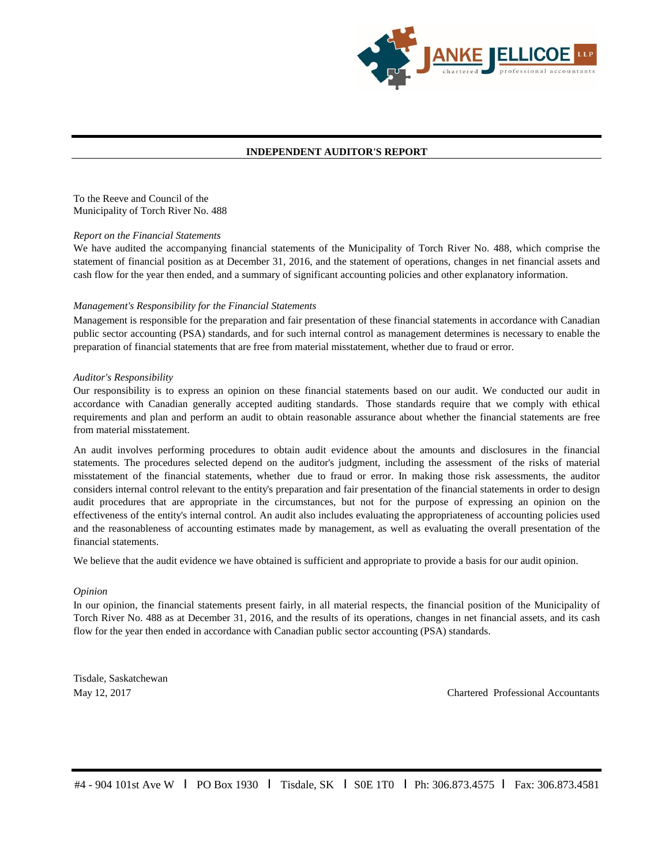

## **INDEPENDENT AUDITOR'S REPORT**

To the Reeve and Council of the Municipality of Torch River No. 488

### *Report on the Financial Statements*

We have audited the accompanying financial statements of the Municipality of Torch River No. 488, which comprise the statement of financial position as at December 31, 2016, and the statement of operations, changes in net financial assets and cash flow for the year then ended, and a summary of significant accounting policies and other explanatory information.

## *Management's Responsibility for the Financial Statements*

Management is responsible for the preparation and fair presentation of these financial statements in accordance with Canadian public sector accounting (PSA) standards, and for such internal control as management determines is necessary to enable the preparation of financial statements that are free from material misstatement, whether due to fraud or error.

## *Auditor's Responsibility*

Our responsibility is to express an opinion on these financial statements based on our audit. We conducted our audit in accordance with Canadian generally accepted auditing standards. Those standards require that we comply with ethical requirements and plan and perform an audit to obtain reasonable assurance about whether the financial statements are free from material misstatement.

An audit involves performing procedures to obtain audit evidence about the amounts and disclosures in the financial statements. The procedures selected depend on the auditor's judgment, including the assessment of the risks of material misstatement of the financial statements, whether due to fraud or error. In making those risk assessments, the auditor considers internal control relevant to the entity's preparation and fair presentation of the financial statements in order to design audit procedures that are appropriate in the circumstances, but not for the purpose of expressing an opinion on the effectiveness of the entity's internal control. An audit also includes evaluating the appropriateness of accounting policies used and the reasonableness of accounting estimates made by management, as well as evaluating the overall presentation of the financial statements.

We believe that the audit evidence we have obtained is sufficient and appropriate to provide a basis for our audit opinion.

### *Opinion*

In our opinion, the financial statements present fairly, in all material respects, the financial position of the Municipality of Torch River No. 488 as at December 31, 2016, and the results of its operations, changes in net financial assets, and its cash flow for the year then ended in accordance with Canadian public sector accounting (PSA) standards.

Tisdale, Saskatchewan May 12, 2017

Chartered Professional Accountants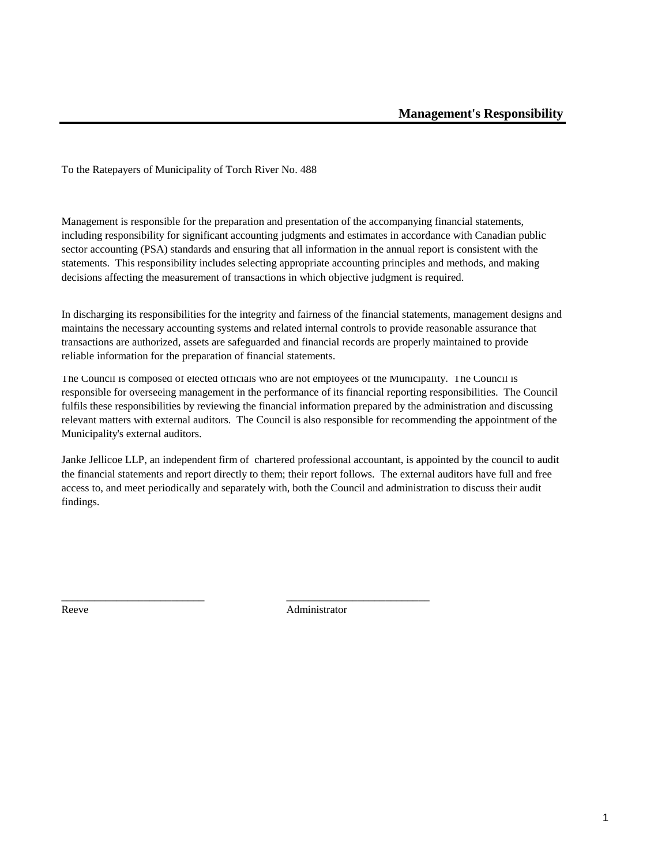To the Ratepayers of Municipality of Torch River No. 488

Management is responsible for the preparation and presentation of the accompanying financial statements, including responsibility for significant accounting judgments and estimates in accordance with Canadian public sector accounting (PSA) standards and ensuring that all information in the annual report is consistent with the statements. This responsibility includes selecting appropriate accounting principles and methods, and making decisions affecting the measurement of transactions in which objective judgment is required.

In discharging its responsibilities for the integrity and fairness of the financial statements, management designs and maintains the necessary accounting systems and related internal controls to provide reasonable assurance that transactions are authorized, assets are safeguarded and financial records are properly maintained to provide reliable information for the preparation of financial statements.

The Council is composed of elected officials who are not employees of the Municipality. The Council is responsible for overseeing management in the performance of its financial reporting responsibilities. The Council fulfils these responsibilities by reviewing the financial information prepared by the administration and discussing relevant matters with external auditors. The Council is also responsible for recommending the appointment of the Municipality's external auditors.

Janke Jellicoe LLP, an independent firm of chartered professional accountant, is appointed by the council to audit the financial statements and report directly to them; their report follows. The external auditors have full and free access to, and meet periodically and separately with, both the Council and administration to discuss their audit findings.

Reeve Administrator

\_\_\_\_\_\_\_\_\_\_\_\_\_\_\_\_\_\_\_\_\_\_\_\_\_\_ \_\_\_\_\_\_\_\_\_\_\_\_\_\_\_\_\_\_\_\_\_\_\_\_\_\_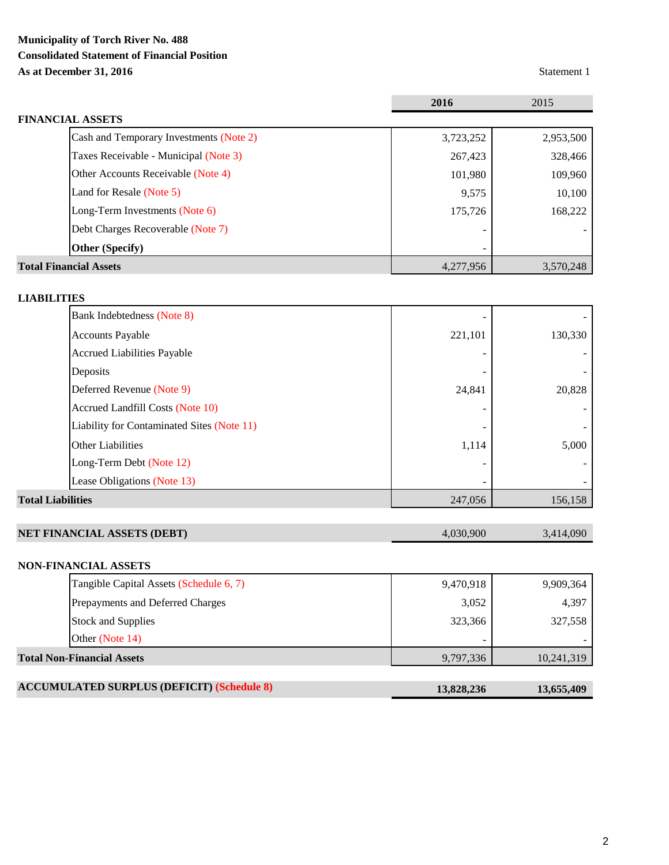# **Municipality of Torch River No. 488 Consolidated Statement of Financial Position As at December 31, 2016** Statement 1

|                                         | 2016      | 2015      |
|-----------------------------------------|-----------|-----------|
| <b>FINANCIAL ASSETS</b>                 |           |           |
| Cash and Temporary Investments (Note 2) | 3,723,252 | 2,953,500 |
| Taxes Receivable - Municipal (Note 3)   | 267,423   | 328,466   |
| Other Accounts Receivable (Note 4)      | 101,980   | 109,960   |
| Land for Resale (Note 5)                | 9,575     | 10,100    |
| Long-Term Investments (Note 6)          | 175,726   | 168,222   |
| Debt Charges Recoverable (Note 7)       |           |           |
| <b>Other (Specify)</b>                  |           |           |
| <b>Total Financial Assets</b>           | 4,277,956 | 3,570,248 |

# **LIABILITIES**

| <b>Total Liabilities</b> |                                            | 247,056 | 156,158 |
|--------------------------|--------------------------------------------|---------|---------|
|                          | Lease Obligations (Note 13)                |         |         |
|                          | Long-Term Debt (Note 12)                   |         |         |
|                          | <b>Other Liabilities</b>                   | 1,114   | 5,000   |
|                          | Liability for Contaminated Sites (Note 11) |         |         |
|                          | Accrued Landfill Costs (Note 10)           |         |         |
|                          | Deferred Revenue (Note 9)                  | 24,841  | 20,828  |
|                          | Deposits                                   |         |         |
|                          | <b>Accrued Liabilities Payable</b>         |         |         |
|                          | <b>Accounts Payable</b>                    | 221,101 | 130,330 |
|                          | Bank Indebtedness (Note 8)                 |         |         |

| <b>NET FINANCIAL ASSETS (DEBT)</b> | 4.030.900 | 3,414,090 |
|------------------------------------|-----------|-----------|
|                                    |           |           |

# **NON-FINANCIAL ASSETS**

| <b>Total Non-Financial Assets</b>       | 9,797,336 | 10,241,319 |
|-----------------------------------------|-----------|------------|
| Other (Note 14)                         |           |            |
| <b>Stock and Supplies</b>               | 323,366   | 327,558    |
| Prepayments and Deferred Charges        | 3,052     | 4,397      |
| Tangible Capital Assets (Schedule 6, 7) | 9,470,918 | 9,909,364  |

| <b>ACCUMULATED SURPLUS (DEFICIT) (Schedule 8)</b> | 13,828,236 | 13,655,409 |
|---------------------------------------------------|------------|------------|
|---------------------------------------------------|------------|------------|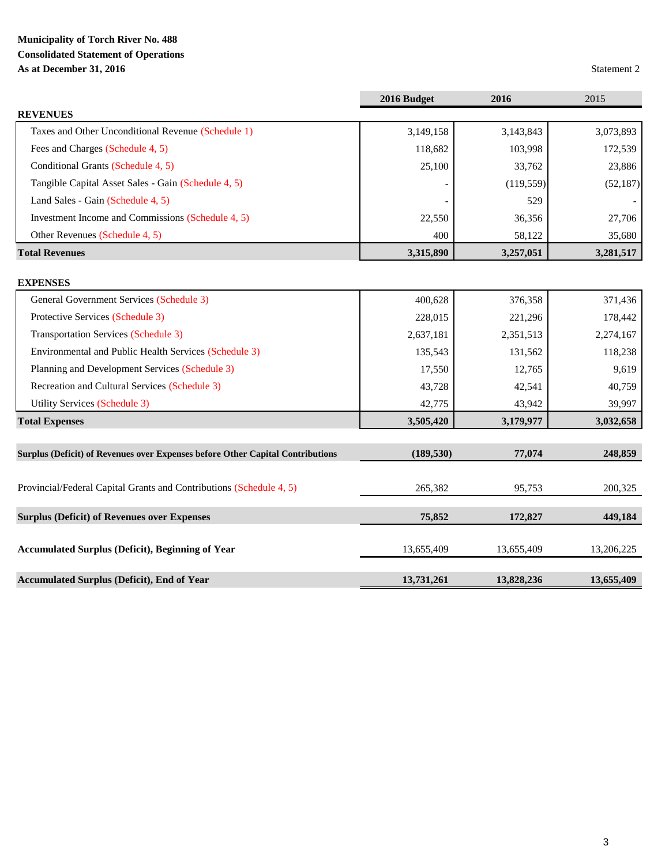# **Municipality of Torch River No. 488 Consolidated Statement of Operations As at December 31, 2016** Statement 2

|                                                                                | 2016 Budget | 2016       | 2015       |
|--------------------------------------------------------------------------------|-------------|------------|------------|
| <b>REVENUES</b>                                                                |             |            |            |
| Taxes and Other Unconditional Revenue (Schedule 1)                             | 3,149,158   | 3,143,843  | 3,073,893  |
| Fees and Charges (Schedule 4, 5)                                               | 118,682     | 103,998    | 172,539    |
| Conditional Grants (Schedule 4, 5)                                             | 25,100      | 33,762     | 23,886     |
| Tangible Capital Asset Sales - Gain (Schedule 4, 5)                            |             | (119, 559) | (52, 187)  |
| Land Sales - Gain (Schedule 4, 5)                                              |             | 529        |            |
| Investment Income and Commissions (Schedule 4, 5)                              | 22,550      | 36,356     | 27,706     |
| Other Revenues (Schedule 4, 5)                                                 | 400         | 58,122     | 35,680     |
| <b>Total Revenues</b>                                                          | 3,315,890   | 3,257,051  | 3,281,517  |
| <b>EXPENSES</b>                                                                |             |            |            |
| General Government Services (Schedule 3)                                       | 400,628     | 376,358    | 371,436    |
| Protective Services (Schedule 3)                                               | 228,015     | 221,296    | 178,442    |
| <b>Transportation Services (Schedule 3)</b>                                    | 2,637,181   | 2,351,513  | 2,274,167  |
| Environmental and Public Health Services (Schedule 3)                          | 135,543     | 131,562    | 118,238    |
| Planning and Development Services (Schedule 3)                                 | 17,550      | 12,765     | 9,619      |
| Recreation and Cultural Services (Schedule 3)                                  | 43,728      | 42,541     | 40,759     |
| Utility Services (Schedule 3)                                                  | 42,775      | 43,942     | 39,997     |
| <b>Total Expenses</b>                                                          | 3,505,420   | 3,179,977  | 3,032,658  |
|                                                                                |             |            |            |
| Surplus (Deficit) of Revenues over Expenses before Other Capital Contributions | (189, 530)  | 77,074     | 248,859    |
|                                                                                |             |            |            |
| Provincial/Federal Capital Grants and Contributions (Schedule 4, 5)            | 265,382     | 95,753     | 200,325    |
| <b>Surplus (Deficit) of Revenues over Expenses</b>                             | 75,852      | 172,827    | 449,184    |
|                                                                                |             |            |            |
| <b>Accumulated Surplus (Deficit), Beginning of Year</b>                        | 13,655,409  | 13,655,409 | 13,206,225 |
| <b>Accumulated Surplus (Deficit), End of Year</b>                              | 13,731,261  | 13,828,236 | 13,655,409 |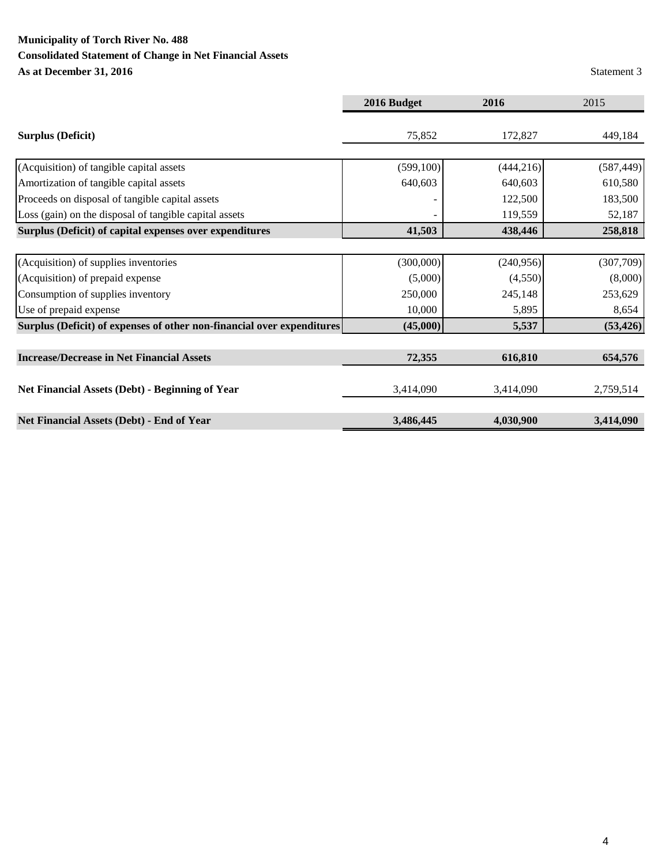# **Municipality of Torch River No. 488**

# **Consolidated Statement of Change in Net Financial Assets**

**As at December 31, 2016** Statement 3

|                                                                        | 2016 Budget | 2016       | 2015       |
|------------------------------------------------------------------------|-------------|------------|------------|
|                                                                        |             |            |            |
| <b>Surplus (Deficit)</b>                                               | 75,852      | 172,827    | 449,184    |
|                                                                        |             |            |            |
| (Acquisition) of tangible capital assets                               | (599, 100)  | (444, 216) | (587, 449) |
| Amortization of tangible capital assets                                | 640,603     | 640,603    | 610,580    |
| Proceeds on disposal of tangible capital assets                        |             | 122,500    | 183,500    |
| Loss (gain) on the disposal of tangible capital assets                 |             | 119,559    | 52,187     |
| Surplus (Deficit) of capital expenses over expenditures                | 41,503      | 438,446    | 258,818    |
|                                                                        |             |            |            |
| (Acquisition) of supplies inventories                                  | (300,000)   | (240,956)  | (307,709)  |
| (Acquisition) of prepaid expense                                       | (5,000)     | (4,550)    | (8,000)    |
| Consumption of supplies inventory                                      | 250,000     | 245,148    | 253,629    |
| Use of prepaid expense                                                 | 10,000      | 5,895      | 8,654      |
| Surplus (Deficit) of expenses of other non-financial over expenditures | (45,000)    | 5,537      | (53, 426)  |
|                                                                        |             |            |            |
| <b>Increase/Decrease in Net Financial Assets</b>                       | 72,355      | 616,810    | 654,576    |
|                                                                        |             |            |            |
| <b>Net Financial Assets (Debt) - Beginning of Year</b>                 | 3,414,090   | 3,414,090  | 2,759,514  |
|                                                                        |             |            |            |
| Net Financial Assets (Debt) - End of Year                              | 3,486,445   | 4,030,900  | 3,414,090  |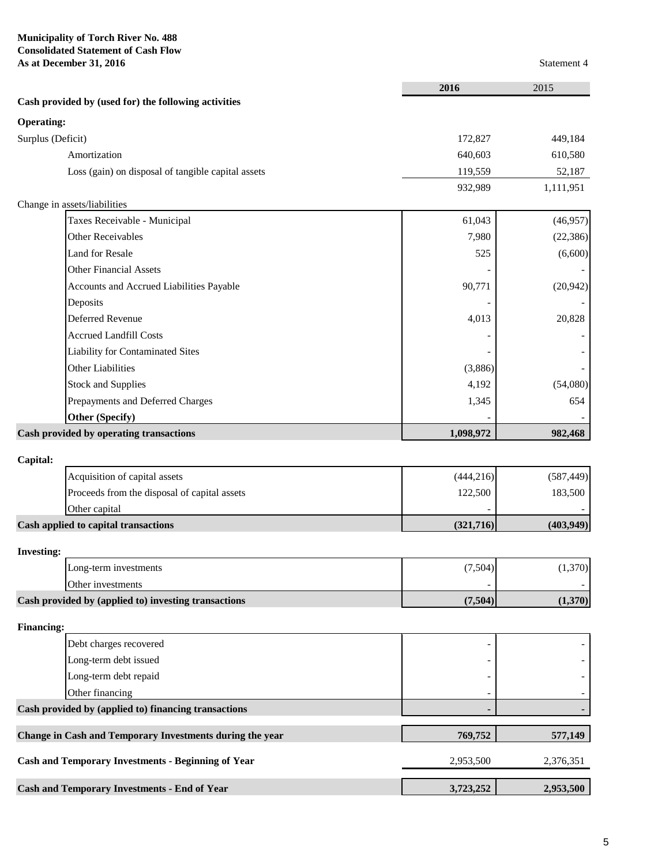# **Municipality of Torch River No. 488 Consolidated Statement of Cash Flow As at December 31, 2016** Statement 4

|                                                           | 2016       | 2015       |
|-----------------------------------------------------------|------------|------------|
| Cash provided by (used for) the following activities      |            |            |
| <b>Operating:</b>                                         |            |            |
| Surplus (Deficit)                                         | 172,827    | 449,184    |
| Amortization                                              | 640,603    | 610,580    |
| Loss (gain) on disposal of tangible capital assets        | 119,559    | 52,187     |
|                                                           | 932,989    | 1,111,951  |
| Change in assets/liabilities                              |            |            |
| Taxes Receivable - Municipal                              | 61,043     | (46,957)   |
| <b>Other Receivables</b>                                  | 7,980      | (22, 386)  |
| <b>Land for Resale</b>                                    | 525        | (6,600)    |
| <b>Other Financial Assets</b>                             |            |            |
| Accounts and Accrued Liabilities Payable                  | 90,771     | (20, 942)  |
| Deposits                                                  |            |            |
| <b>Deferred Revenue</b>                                   | 4,013      | 20,828     |
| <b>Accrued Landfill Costs</b>                             |            |            |
| <b>Liability for Contaminated Sites</b>                   |            |            |
| <b>Other Liabilities</b>                                  | (3,886)    |            |
| <b>Stock and Supplies</b>                                 | 4,192      | (54,080)   |
| Prepayments and Deferred Charges                          | 1,345      | 654        |
| <b>Other (Specify)</b>                                    |            |            |
| Cash provided by operating transactions                   | 1,098,972  | 982,468    |
| Capital:                                                  |            |            |
| Acquisition of capital assets                             | (444, 216) | (587, 449) |
| Proceeds from the disposal of capital assets              | 122,500    | 183,500    |
| Other capital                                             |            |            |
| Cash applied to capital transactions                      | (321, 716) | (403, 949) |
| <b>Investing:</b>                                         |            |            |
| Long-term investments                                     | (7,504)    | (1,370)    |
| Other investments                                         |            |            |
| Cash provided by (applied to) investing transactions      | (7,504)    | (1,370)    |
| <b>Financing:</b>                                         |            |            |
| Debt charges recovered                                    |            |            |
| Long-term debt issued                                     |            |            |
| Long-term debt repaid                                     |            |            |
| Other financing                                           |            |            |
| Cash provided by (applied to) financing transactions      |            |            |
| Change in Cash and Temporary Investments during the year  | 769,752    | 577,149    |
| <b>Cash and Temporary Investments - Beginning of Year</b> | 2,953,500  | 2,376,351  |
| <b>Cash and Temporary Investments - End of Year</b>       | 3,723,252  | 2,953,500  |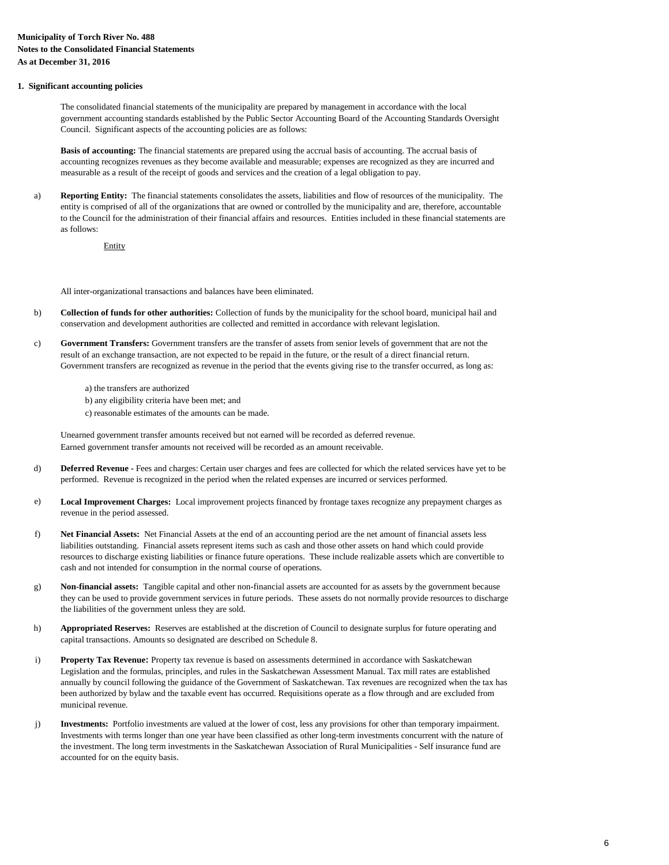### **1. Significant accounting policies**

The consolidated financial statements of the municipality are prepared by management in accordance with the local government accounting standards established by the Public Sector Accounting Board of the Accounting Standards Oversight Council. Significant aspects of the accounting policies are as follows:

**Basis of accounting:** The financial statements are prepared using the accrual basis of accounting. The accrual basis of accounting recognizes revenues as they become available and measurable; expenses are recognized as they are incurred and measurable as a result of the receipt of goods and services and the creation of a legal obligation to pay.

a) **Reporting Entity:** The financial statements consolidates the assets, liabilities and flow of resources of the municipality. The entity is comprised of all of the organizations that are owned or controlled by the municipality and are, therefore, accountable to the Council for the administration of their financial affairs and resources. Entities included in these financial statements are as follows:

Entity

All inter-organizational transactions and balances have been eliminated.

- b) **Collection of funds for other authorities:** Collection of funds by the municipality for the school board, municipal hail and conservation and development authorities are collected and remitted in accordance with relevant legislation.
- c) **Government Transfers:** Government transfers are the transfer of assets from senior levels of government that are not the result of an exchange transaction, are not expected to be repaid in the future, or the result of a direct financial return. Government transfers are recognized as revenue in the period that the events giving rise to the transfer occurred, as long as:
	- a) the transfers are authorized
	- b) any eligibility criteria have been met; and
	- c) reasonable estimates of the amounts can be made.

Unearned government transfer amounts received but not earned will be recorded as deferred revenue. Earned government transfer amounts not received will be recorded as an amount receivable.

- d) **Deferred Revenue -** Fees and charges: Certain user charges and fees are collected for which the related services have yet to be performed. Revenue is recognized in the period when the related expenses are incurred or services performed.
- e) **Local Improvement Charges:** Local improvement projects financed by frontage taxes recognize any prepayment charges as revenue in the period assessed.
- f) **Net Financial Assets:** Net Financial Assets at the end of an accounting period are the net amount of financial assets less liabilities outstanding. Financial assets represent items such as cash and those other assets on hand which could provide resources to discharge existing liabilities or finance future operations. These include realizable assets which are convertible to cash and not intended for consumption in the normal course of operations.
- g) **Non-financial assets:** Tangible capital and other non-financial assets are accounted for as assets by the government because they can be used to provide government services in future periods. These assets do not normally provide resources to discharge the liabilities of the government unless they are sold.
- h) **Appropriated Reserves:** Reserves are established at the discretion of Council to designate surplus for future operating and capital transactions. Amounts so designated are described on Schedule 8.
- i) **Property Tax Revenue:** Property tax revenue is based on assessments determined in accordance with Saskatchewan Legislation and the formulas, principles, and rules in the Saskatchewan Assessment Manual. Tax mill rates are established annually by council following the guidance of the Government of Saskatchewan. Tax revenues are recognized when the tax has been authorized by bylaw and the taxable event has occurred. Requisitions operate as a flow through and are excluded from municipal revenue.
- j) **Investments:** Portfolio investments are valued at the lower of cost, less any provisions for other than temporary impairment. Investments with terms longer than one year have been classified as other long-term investments concurrent with the nature of the investment. The long term investments in the Saskatchewan Association of Rural Municipalities - Self insurance fund are accounted for on the equity basis.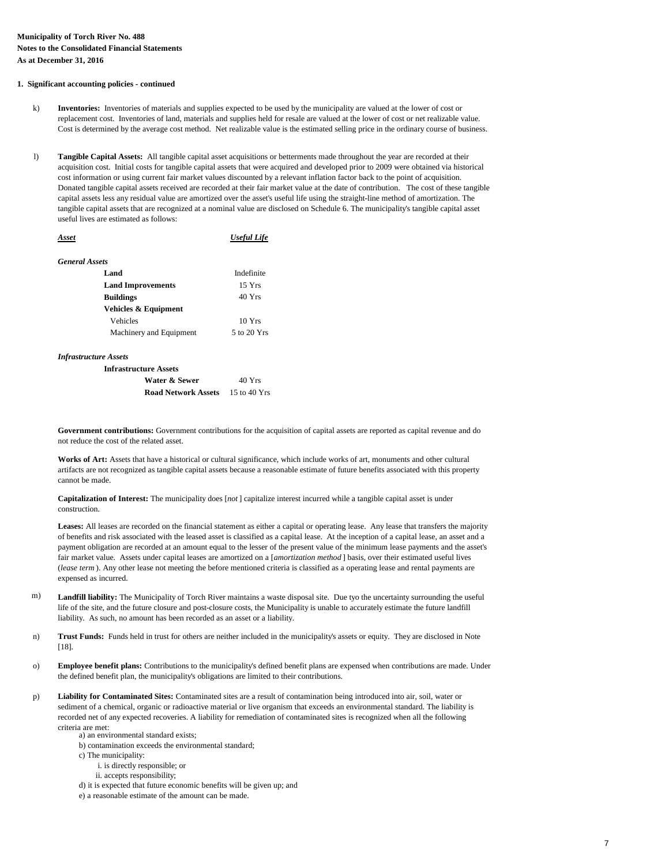### **1. Significant accounting policies - continued**

- k) **Inventories:** Inventories of materials and supplies expected to be used by the municipality are valued at the lower of cost or replacement cost. Inventories of land, materials and supplies held for resale are valued at the lower of cost or net realizable value. Cost is determined by the average cost method. Net realizable value is the estimated selling price in the ordinary course of business.
- l) **Tangible Capital Assets:** All tangible capital asset acquisitions or betterments made throughout the year are recorded at their acquisition cost. Initial costs for tangible capital assets that were acquired and developed prior to 2009 were obtained via historical cost information or using current fair market values discounted by a relevant inflation factor back to the point of acquisition. Donated tangible capital assets received are recorded at their fair market value at the date of contribution. The cost of these tangible capital assets less any residual value are amortized over the asset's useful life using the straight-line method of amortization. The tangible capital assets that are recognized at a nominal value are disclosed on Schedule 6. The municipality's tangible capital asset useful lives are estimated as follows:

| Asset                    | <b>Useful Life</b> |
|--------------------------|--------------------|
| General Assets           |                    |
| Land                     | Indefinite         |
| <b>Land Improvements</b> | $15 \text{ Yrs}$   |
| <b>Buildings</b>         | 40 Yrs             |
| Vehicles & Equipment     |                    |
| Vehicles                 | $10 \text{ Yrs}$   |
| Machinery and Equipment  | 5 to 20 Yrs        |

*Infrastructure Assets*

| <b>Infrastructure Assets</b>            |        |
|-----------------------------------------|--------|
| Water & Sewer                           | 40 Yrs |
| <b>Road Network Assets</b> 15 to 40 Yrs |        |

**Government contributions:** Government contributions for the acquisition of capital assets are reported as capital revenue and do not reduce the cost of the related asset.

**Works of Art:** Assets that have a historical or cultural significance, which include works of art, monuments and other cultural artifacts are not recognized as tangible capital assets because a reasonable estimate of future benefits associated with this property cannot be made.

**Capitalization of Interest:** The municipality does [*not* ] capitalize interest incurred while a tangible capital asset is under construction.

**Leases:** All leases are recorded on the financial statement as either a capital or operating lease. Any lease that transfers the majority of benefits and risk associated with the leased asset is classified as a capital lease. At the inception of a capital lease, an asset and a payment obligation are recorded at an amount equal to the lesser of the present value of the minimum lease payments and the asset's fair market value. Assets under capital leases are amortized on a [*amortization method* ] basis, over their estimated useful lives (*lease term* ). Any other lease not meeting the before mentioned criteria is classified as a operating lease and rental payments are expensed as incurred.

- **Landfill liability:** The Municipality of Torch River maintains a waste disposal site. Due tyo the uncertainty surrounding the useful life of the site, and the future closure and post-closure costs, the Municipality is unable to accurately estimate the future landfill liability. As such, no amount has been recorded as an asset or a liability. m)
- **Trust Funds:** Funds held in trust for others are neither included in the municipality's assets or equity. They are disclosed in Note [18]. n)
- o) **Employee benefit plans:** Contributions to the municipality's defined benefit plans are expensed when contributions are made. Under the defined benefit plan, the municipality's obligations are limited to their contributions.
- **Liability for Contaminated Sites:** Contaminated sites are a result of contamination being introduced into air, soil, water or sediment of a chemical, organic or radioactive material or live organism that exceeds an environmental standard. The liability is recorded net of any expected recoveries. A liability for remediation of contaminated sites is recognized when all the following criteria are met: p)
	- a) an environmental standard exists;
	- b) contamination exceeds the environmental standard;
	- c) The municipality:
		- i. is directly responsible; or
		- ii. accepts responsibility;
	- d) it is expected that future economic benefits will be given up; and
	- e) a reasonable estimate of the amount can be made.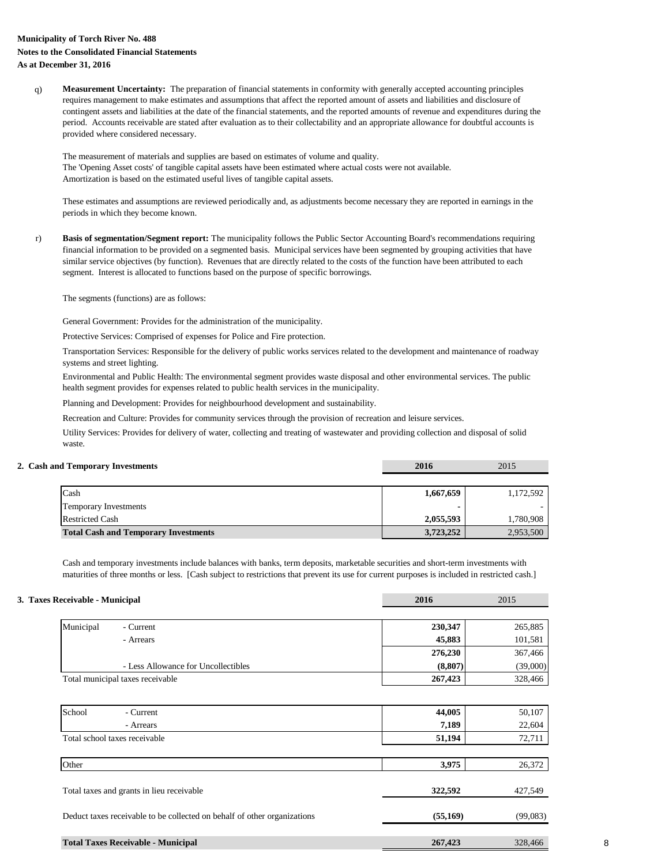# **Municipality of Torch River No. 488 Notes to the Consolidated Financial Statements As at December 31, 2016**

q) **Measurement Uncertainty:** The preparation of financial statements in conformity with generally accepted accounting principles requires management to make estimates and assumptions that affect the reported amount of assets and liabilities and disclosure of contingent assets and liabilities at the date of the financial statements, and the reported amounts of revenue and expenditures during the period. Accounts receivable are stated after evaluation as to their collectability and an appropriate allowance for doubtful accounts is provided where considered necessary.

The 'Opening Asset costs' of tangible capital assets have been estimated where actual costs were not available. The measurement of materials and supplies are based on estimates of volume and quality. Amortization is based on the estimated useful lives of tangible capital assets.

These estimates and assumptions are reviewed periodically and, as adjustments become necessary they are reported in earnings in the periods in which they become known.

r) **Basis of segmentation/Segment report:** The municipality follows the Public Sector Accounting Board's recommendations requiring financial information to be provided on a segmented basis. Municipal services have been segmented by grouping activities that have similar service objectives (by function). Revenues that are directly related to the costs of the function have been attributed to each segment. Interest is allocated to functions based on the purpose of specific borrowings.

The segments (functions) are as follows:

General Government: Provides for the administration of the municipality.

Protective Services: Comprised of expenses for Police and Fire protection.

Transportation Services: Responsible for the delivery of public works services related to the development and maintenance of roadway systems and street lighting.

Environmental and Public Health: The environmental segment provides waste disposal and other environmental services. The public health segment provides for expenses related to public health services in the municipality.

Planning and Development: Provides for neighbourhood development and sustainability.

Recreation and Culture: Provides for community services through the provision of recreation and leisure services.

Utility Services: Provides for delivery of water, collecting and treating of wastewater and providing collection and disposal of solid waste.

## **2. Cash and Temporary Investments 2016** 2015

| Cash                                        | 1,667,659 | 1,172,592 |
|---------------------------------------------|-----------|-----------|
| <b>Temporary Investments</b>                |           |           |
| <b>Restricted Cash</b>                      | 2,055,593 | 1,780,908 |
| <b>Total Cash and Temporary Investments</b> | 3,723,252 | 2,953,500 |

Cash and temporary investments include balances with banks, term deposits, marketable securities and short-term investments with maturities of three months or less. [Cash subject to restrictions that prevent its use for current purposes is included in restricted cash.]

| 3. Taxes Receivable - Municipal | 2016 | 2015 |
|---------------------------------|------|------|
|                                 |      |      |

| Municipal                           | - Current | 230,347 | 265,885  |  |
|-------------------------------------|-----------|---------|----------|--|
|                                     | - Arrears | 45,883  | 101,581  |  |
| - Less Allowance for Uncollectibles |           | 276,230 | 367,466  |  |
|                                     |           | (8,807) | (39,000) |  |
| Total municipal taxes receivable    |           | 267,423 | 328,466  |  |
|                                     |           |         |          |  |

| School<br>- Current                                                      | 44,005   | 50,107   |
|--------------------------------------------------------------------------|----------|----------|
| - Arrears                                                                | 7,189    | 22,604   |
| Total school taxes receivable                                            | 51,194   | 72,711   |
|                                                                          |          |          |
| Other                                                                    | 3,975    | 26,372   |
|                                                                          |          |          |
| Total taxes and grants in lieu receivable                                | 322,592  | 427,549  |
|                                                                          |          |          |
| Deduct taxes receivable to be collected on behalf of other organizations | (55,169) | (99,083) |
|                                                                          |          |          |
| <b>Total Taxes Receivable - Municipal</b>                                | 267,423  | 328,466  |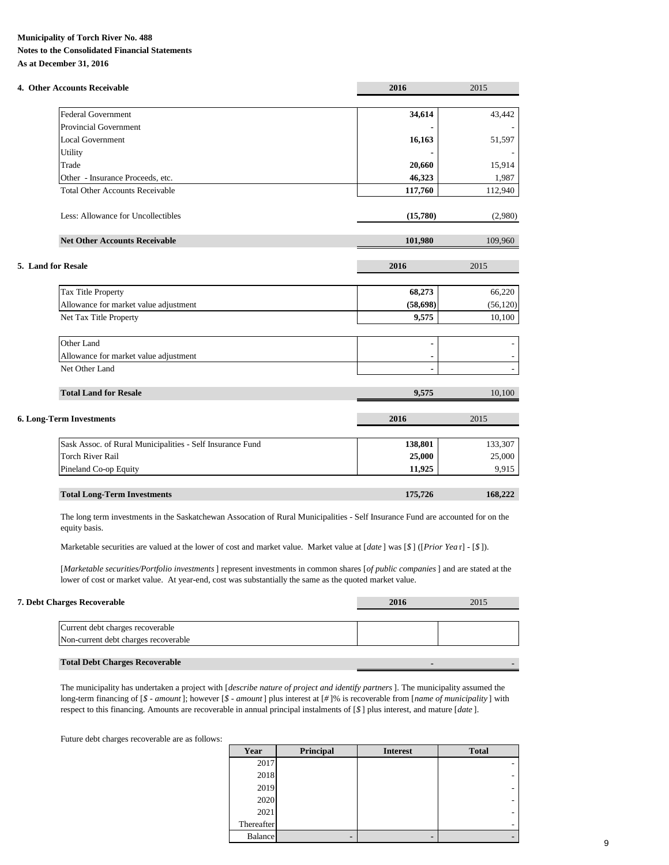# **Municipality of Torch River No. 488**

**Notes to the Consolidated Financial Statements As at December 31, 2016**

| 4. Other Accounts Receivable                              | 2016      | 2015      |
|-----------------------------------------------------------|-----------|-----------|
| <b>Federal Government</b>                                 | 34,614    | 43,442    |
| <b>Provincial Government</b>                              |           |           |
| <b>Local Government</b>                                   | 16,163    | 51,597    |
| Utility                                                   |           |           |
| Trade                                                     | 20,660    | 15,914    |
| Other - Insurance Proceeds, etc.                          | 46,323    | 1,987     |
| <b>Total Other Accounts Receivable</b>                    | 117,760   | 112,940   |
| Less: Allowance for Uncollectibles                        | (15,780)  | (2,980)   |
| <b>Net Other Accounts Receivable</b>                      | 101,980   | 109,960   |
| 5. Land for Resale                                        | 2016      | 2015      |
| Tax Title Property                                        | 68,273    | 66,220    |
| Allowance for market value adjustment                     | (58, 698) | (56, 120) |
| Net Tax Title Property                                    | 9,575     | 10,100    |
| Other Land                                                |           |           |
| Allowance for market value adjustment                     |           |           |
| Net Other Land                                            |           |           |
| <b>Total Land for Resale</b>                              | 9,575     | 10,100    |
| <b>6. Long-Term Investments</b>                           | 2016      | 2015      |
| Sask Assoc. of Rural Municipalities - Self Insurance Fund | 138,801   | 133,307   |
| <b>Torch River Rail</b>                                   | 25,000    | 25,000    |
| Pineland Co-op Equity                                     | 11,925    | 9,915     |
| <b>Total Long-Term Investments</b>                        | 175,726   | 168,222   |

The long term investments in the Saskatchewan Assocation of Rural Municipalities - Self Insurance Fund are accounted for on the equity basis.

Marketable securities are valued at the lower of cost and market value. Market value at [*date* ] was [*\$* ] ([*Prior Yea* r] - [*\$* ]).

[*Marketable securities/Portfolio investments*] represent investments in common shares [*of public companies*] and are stated at the lower of cost or market value. At year-end, cost was substantially the same as the quoted market value.

| <b>7. Debt Charges Recoverable</b>    | 2016 | 2015 |
|---------------------------------------|------|------|
|                                       |      |      |
| Current debt charges recoverable      |      |      |
| Non-current debt charges recoverable  |      |      |
|                                       |      |      |
| <b>Total Debt Charges Recoverable</b> |      |      |

The municipality has undertaken a project with [*describe nature of project and identify partners*]. The municipality assumed the long-term financing of [*\$ - amount*]; however [*\$ - amount*] plus interest at [*#* ]% is recoverable from [*name of municipality* ] with respect to this financing. Amounts are recoverable in annual principal instalments of [*\$* ] plus interest, and mature [*date* ].

Future debt charges recoverable are as follows:

| Year           | Principal | <b>Interest</b> | <b>Total</b> |
|----------------|-----------|-----------------|--------------|
| 2017           |           |                 |              |
| 2018           |           |                 | -            |
| 2019           |           |                 | -            |
| 2020           |           |                 | -            |
| 2021           |           |                 | -            |
| Thereafter     |           |                 |              |
| <b>Balance</b> | -         | -               | -            |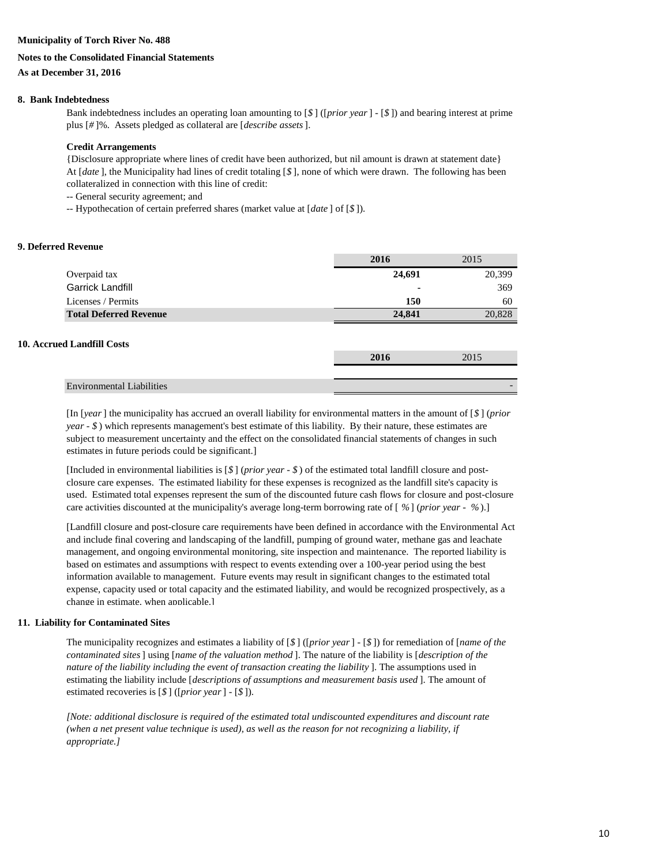### **Municipality of Torch River No. 488**

### **Notes to the Consolidated Financial Statements**

## **As at December 31, 2016**

### **8. Bank Indebtedness**

Bank indebtedness includes an operating loan amounting to [*\$* ] ([*prior year*] - [*\$* ]) and bearing interest at prime plus [*#* ]%. Assets pledged as collateral are [*describe assets*].

### **Credit Arrangements**

{Disclosure appropriate where lines of credit have been authorized, but nil amount is drawn at statement date} At [*date* ], the Municipality had lines of credit totaling [*\$* ], none of which were drawn. The following has been collateralized in connection with this line of credit:

-- General security agreement; and

-- Hypothecation of certain preferred shares (market value at [*date* ] of [*\$* ]).

### **9. Deferred Revenue**

|                               | 2016   | 2015   |
|-------------------------------|--------|--------|
| Overpaid tax                  | 24,691 | 20,399 |
| <b>Garrick Landfill</b>       |        | 369    |
| Licenses / Permits            | 150    | 60     |
| <b>Total Deferred Revenue</b> | 24,841 | 20,828 |

### **10. Accrued Landfill Costs**

|                                  | 4V 1 | 20 |  |
|----------------------------------|------|----|--|
|                                  |      |    |  |
| <b>Environmental Liabilities</b> |      |    |  |

[In [*year*] the municipality has accrued an overall liability for environmental matters in the amount of [*\$* ] (*prior year - \$* ) which represents management's best estimate of this liability. By their nature, these estimates are subject to measurement uncertainty and the effect on the consolidated financial statements of changes in such estimates in future periods could be significant.]

[Included in environmental liabilities is [*\$* ] (*prior year - \$* ) of the estimated total landfill closure and postclosure care expenses. The estimated liability for these expenses is recognized as the landfill site's capacity is used. Estimated total expenses represent the sum of the discounted future cash flows for closure and post-closure care activities discounted at the municipality's average long-term borrowing rate of [ *%*] (*prior year - %*).]

[Landfill closure and post-closure care requirements have been defined in accordance with the Environmental Act and include final covering and landscaping of the landfill, pumping of ground water, methane gas and leachate management, and ongoing environmental monitoring, site inspection and maintenance. The reported liability is based on estimates and assumptions with respect to events extending over a 100-year period using the best information available to management. Future events may result in significant changes to the estimated total expense, capacity used or total capacity and the estimated liability, and would be recognized prospectively, as a change in estimate, when applicable.]

### **11. Liability for Contaminated Sites**

The municipality recognizes and estimates a liability of [*\$* ] ([*prior year*] - [*\$* ]) for remediation of [*name of the contaminated sites*] using [*name of the valuation method* ]. The nature of the liability is [*description of the nature of the liability including the event of transaction creating the liability* ]. The assumptions used in estimating the liability include [*descriptions of assumptions and measurement basis used* ]. The amount of estimated recoveries is [*\$* ] ([*prior year*] - [*\$* ]).

*[Note: additional disclosure is required of the estimated total undiscounted expenditures and discount rate (when a net present value technique is used), as well as the reason for not recognizing a liability, if appropriate.]*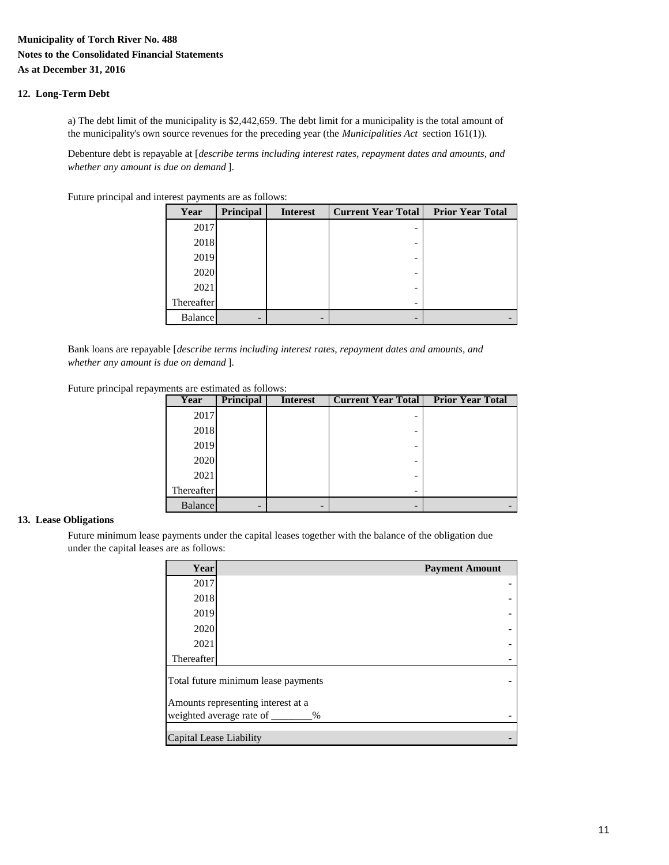# **Municipality of Torch River No. 488 Notes to the Consolidated Financial Statements As at December 31, 2016**

## **12. Long-Term Debt**

a) The debt limit of the municipality is \$2,442,659. The debt limit for a municipality is the total amount of the municipality's own source revenues for the preceding year (the *Municipalities Act* section 161(1)).

Debenture debt is repayable at [*describe terms including interest rates, repayment dates and amounts, and whether any amount is due on demand* ].

Future principal and interest payments are as follows:

| Year           | Principal | <b>Interest</b> | <b>Current Year Total</b> | <b>Prior Year Total</b> |
|----------------|-----------|-----------------|---------------------------|-------------------------|
| 2017           |           |                 |                           |                         |
| 2018           |           |                 | -                         |                         |
| 2019           |           |                 |                           |                         |
| 2020           |           |                 |                           |                         |
| 2021           |           |                 |                           |                         |
| Thereafter     |           |                 |                           |                         |
| <b>Balance</b> | -         | -               |                           |                         |

Bank loans are repayable [*describe terms including interest rates, repayment dates and amounts, and whether any amount is due on demand* ].

Future principal repayments are estimated as follows:

| Year           | <b>Principal</b> | <b>Interest</b> | <b>Current Year Total</b> | <b>Prior Year Total</b> |
|----------------|------------------|-----------------|---------------------------|-------------------------|
| 2017           |                  |                 |                           |                         |
| 2018           |                  |                 |                           |                         |
| 2019           |                  |                 |                           |                         |
| 2020           |                  |                 |                           |                         |
| 2021           |                  |                 |                           |                         |
| Thereafter     |                  |                 |                           |                         |
| <b>Balance</b> | -                |                 |                           |                         |

# **13. Lease Obligations**

Future minimum lease payments under the capital leases together with the balance of the obligation due under the capital leases are as follows:

| Year                             | <b>Payment Amount</b>               |  |  |  |  |
|----------------------------------|-------------------------------------|--|--|--|--|
| 2017                             |                                     |  |  |  |  |
| 2018                             |                                     |  |  |  |  |
| 2019                             |                                     |  |  |  |  |
| 2020                             |                                     |  |  |  |  |
| 2021                             |                                     |  |  |  |  |
| Thereafter                       |                                     |  |  |  |  |
|                                  | Total future minimum lease payments |  |  |  |  |
|                                  | Amounts representing interest at a  |  |  |  |  |
| weighted average rate of<br>$\%$ |                                     |  |  |  |  |
| Capital Lease Liability          |                                     |  |  |  |  |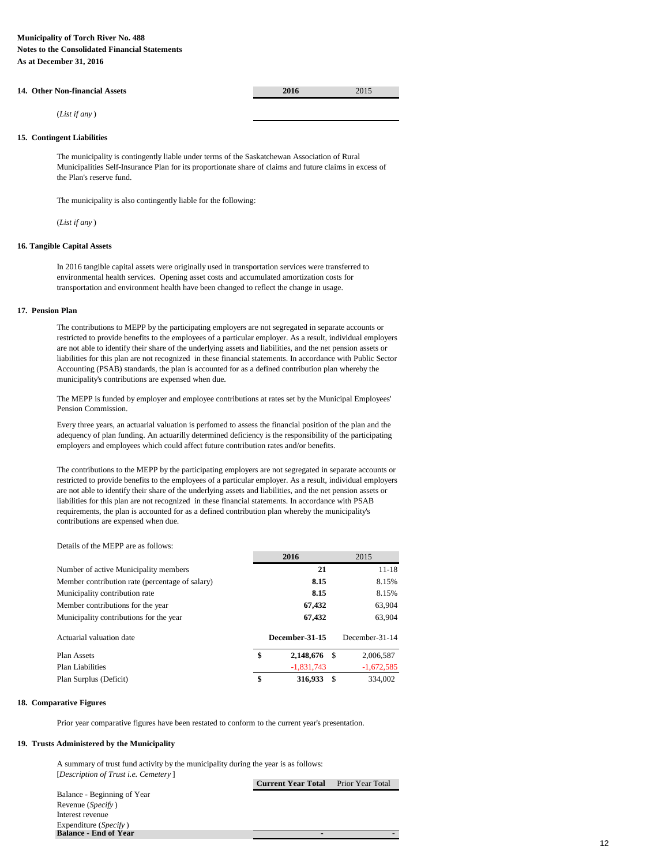# **14. Other Non-financial Assets 2016** 2015

(*List if any* )

### **15. Contingent Liabilities**

The municipality is contingently liable under terms of the Saskatchewan Association of Rural Municipalities Self-Insurance Plan for its proportionate share of claims and future claims in excess of the Plan's reserve fund.

The municipality is also contingently liable for the following:

(*List if any* )

### **16. Tangible Capital Assets**

In 2016 tangible capital assets were originally used in transportation services were transferred to environmental health services. Opening asset costs and accumulated amortization costs for transportation and environment health have been changed to reflect the change in usage.

### **17. Pension Plan**

The contributions to MEPP by the participating employers are not segregated in separate accounts or restricted to provide benefits to the employees of a particular employer. As a result, individual employers are not able to identify their share of the underlying assets and liabilities, and the net pension assets or liabilities for this plan are not recognized in these financial statements. In accordance with Public Sector Accounting (PSAB) standards, the plan is accounted for as a defined contribution plan whereby the municipality's contributions are expensed when due.

The MEPP is funded by employer and employee contributions at rates set by the Municipal Employees' Pension Commission.

Every three years, an actuarial valuation is perfomed to assess the financial position of the plan and the adequency of plan funding. An actuarilly determined deficiency is the responsibility of the participating employers and employees which could affect future contribution rates and/or benefits.

The contributions to the MEPP by the participating employers are not segregated in separate accounts or restricted to provide benefits to the employees of a particular employer. As a result, individual employers are not able to identify their share of the underlying assets and liabilities, and the net pension assets or liabilities for this plan are not recognized in these financial statements. In accordance with PSAB requirements, the plan is accounted for as a defined contribution plan whereby the municipality's contributions are expensed when due.

### Details of the MEPP are as follows:

|                                                 | 2016            |    | 2015           |
|-------------------------------------------------|-----------------|----|----------------|
| Number of active Municipality members           | 21              |    | $11 - 18$      |
| Member contribution rate (percentage of salary) | 8.15            |    | 8.15%          |
| Municipality contribution rate                  | 8.15            |    | 8.15%          |
| Member contributions for the year               | 67,432          |    | 63,904         |
| Municipality contributions for the year         | 67,432          |    | 63,904         |
| Actuarial valuation date                        | December-31-15  |    | December-31-14 |
| Plan Assets                                     | \$<br>2,148,676 | -S | 2,006,587      |
| <b>Plan Liabilities</b>                         | $-1,831,743$    |    | $-1,672,585$   |
| Plan Surplus (Deficit)                          | \$<br>316,933   | -S | 334,002        |

### **18. Comparative Figures**

Prior year comparative figures have been restated to conform to the current year's presentation.

### **19. Trusts Administered by the Municipality**

A summary of trust fund activity by the municipality during the year is as follows: [*Description of Trust i.e. Cemetery* ]

Balance - Beginning of Year Revenue (*Specify* ) Interest revenue Expenditure (*Specify* ) **Balance - End of Year** 

**Current Year Total** Prior Year Total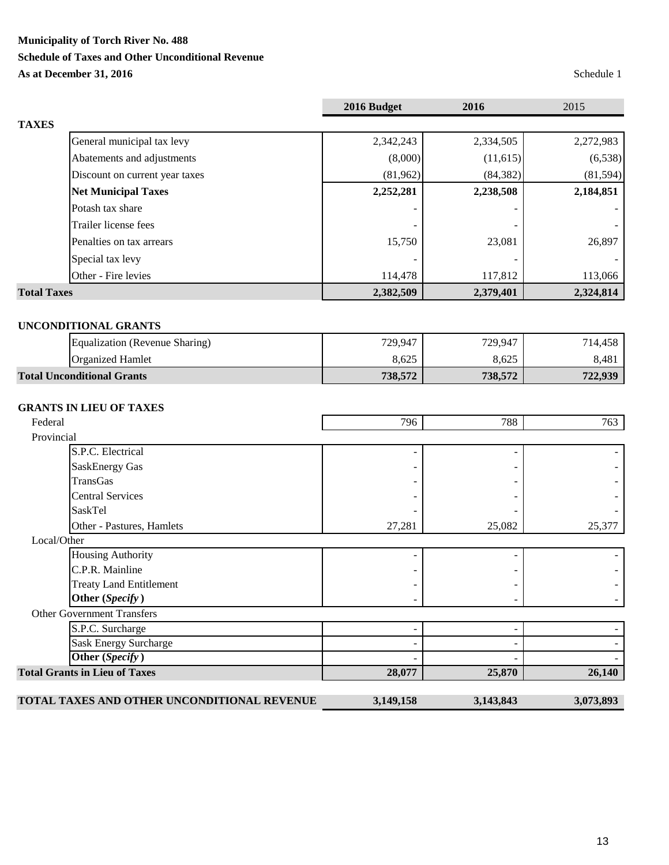**Municipality of Torch River No. 488**

# **Schedule of Taxes and Other Unconditional Revenue**

**As at December 31, 2016** Schedule 1

|                                                   | 2016 Budget | 2016      | 2015      |
|---------------------------------------------------|-------------|-----------|-----------|
| <b>TAXES</b>                                      |             |           |           |
| General municipal tax levy                        | 2,342,243   | 2,334,505 | 2,272,983 |
| Abatements and adjustments                        | (8,000)     | (11, 615) | (6,538)   |
| Discount on current year taxes                    | (81,962)    | (84, 382) | (81, 594) |
| <b>Net Municipal Taxes</b>                        | 2,252,281   | 2,238,508 | 2,184,851 |
| Potash tax share                                  |             |           |           |
| Trailer license fees                              |             |           |           |
| Penalties on tax arrears                          | 15,750      | 23,081    | 26,897    |
|                                                   |             |           |           |
| Special tax levy                                  |             |           |           |
| Other - Fire levies                               | 114,478     | 117,812   | 113,066   |
| <b>Total Taxes</b>                                | 2,382,509   | 2,379,401 | 2,324,814 |
|                                                   |             |           |           |
| <b>UNCONDITIONAL GRANTS</b>                       |             |           |           |
| Equalization (Revenue Sharing)                    | 729,947     | 729,947   | 714,458   |
| <b>Organized Hamlet</b>                           | 8,625       | 8,625     | 8,481     |
| <b>Total Unconditional Grants</b>                 | 738,572     | 738,572   | 722,939   |
|                                                   |             |           |           |
| <b>GRANTS IN LIEU OF TAXES</b>                    |             |           |           |
| Federal                                           | 796         | 788       | 763       |
| Provincial                                        |             |           |           |
| S.P.C. Electrical                                 |             |           |           |
| <b>SaskEnergy Gas</b>                             |             |           |           |
| <b>TransGas</b>                                   |             |           |           |
| <b>Central Services</b>                           |             |           |           |
| <b>SaskTel</b>                                    |             |           |           |
| Other - Pastures, Hamlets                         | 27,281      | 25,082    | 25,377    |
| Local/Other                                       |             |           |           |
| <b>Housing Authority</b>                          |             |           |           |
| C.P.R. Mainline                                   |             |           |           |
| <b>Treaty Land Entitlement</b><br>Other (Specify) |             |           |           |
|                                                   |             |           |           |
| <b>Other Government Transfers</b>                 |             |           |           |
| S.P.C. Surcharge                                  |             |           |           |
| <b>Sask Energy Surcharge</b><br>Other (Specify)   |             |           |           |
|                                                   |             |           |           |
| <b>Total Grants in Lieu of Taxes</b>              | 28,077      | 25,870    | 26,140    |
| TOTAL TAXES AND OTHER UNCONDITIONAL REVENUE       | 3,149,158   | 3,143,843 | 3,073,893 |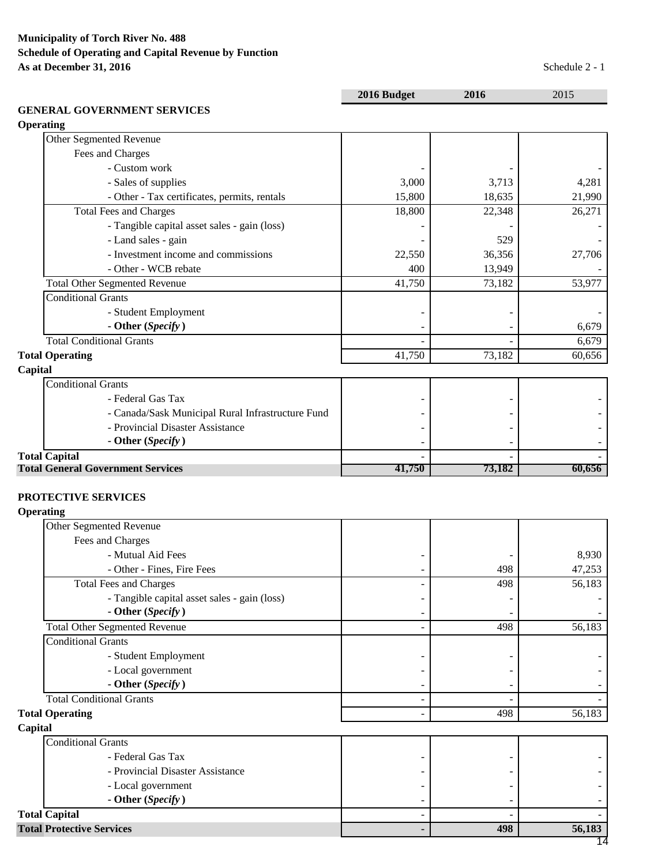|                                                   | 2016 Budget | 2016                     | 2015   |
|---------------------------------------------------|-------------|--------------------------|--------|
| <b>GENERAL GOVERNMENT SERVICES</b>                |             |                          |        |
| <b>Operating</b>                                  |             |                          |        |
| Other Segmented Revenue                           |             |                          |        |
| Fees and Charges                                  |             |                          |        |
| - Custom work                                     |             |                          |        |
| - Sales of supplies                               | 3,000       | 3,713                    | 4,281  |
| - Other - Tax certificates, permits, rentals      | 15,800      | 18,635                   | 21,990 |
| <b>Total Fees and Charges</b>                     | 18,800      | 22,348                   | 26,271 |
| - Tangible capital asset sales - gain (loss)      |             |                          |        |
| - Land sales - gain                               |             | 529                      |        |
| - Investment income and commissions               | 22,550      | 36,356                   | 27,706 |
| - Other - WCB rebate                              | 400         | 13,949                   |        |
| <b>Total Other Segmented Revenue</b>              | 41,750      | 73,182                   | 53,977 |
| <b>Conditional Grants</b>                         |             |                          |        |
| - Student Employment                              |             |                          |        |
| - Other (Specify)                                 |             | $\overline{\phantom{0}}$ | 6,679  |
| <b>Total Conditional Grants</b>                   |             |                          | 6,679  |
| <b>Total Operating</b>                            | 41,750      | 73,182                   | 60,656 |
| Capital                                           |             |                          |        |
| <b>Conditional Grants</b>                         |             |                          |        |
| - Federal Gas Tax                                 |             |                          |        |
| - Canada/Sask Municipal Rural Infrastructure Fund |             |                          |        |
| - Provincial Disaster Assistance                  |             |                          |        |
| - Other (Specify)                                 |             |                          |        |
| <b>Total Capital</b>                              |             |                          |        |
| <b>Total General Government Services</b>          | 41,750      | 73,182                   | 60,656 |
|                                                   |             |                          |        |
| PROTECTIVE SERVICES                               |             |                          |        |
| <b>Operating</b>                                  |             |                          |        |

| Other Segmented Revenue                      |     |        |
|----------------------------------------------|-----|--------|
| Fees and Charges                             |     |        |
| - Mutual Aid Fees                            |     | 8,930  |
| - Other - Fines, Fire Fees                   | 498 | 47,253 |
| <b>Total Fees and Charges</b>                | 498 | 56,183 |
| - Tangible capital asset sales - gain (loss) |     |        |
| - Other (Specify)                            |     |        |
| <b>Total Other Segmented Revenue</b>         | 498 | 56,183 |
| <b>Conditional Grants</b>                    |     |        |
| - Student Employment                         |     |        |
| - Local government                           |     |        |
| - Other (Specify)                            |     |        |
| <b>Total Conditional Grants</b>              |     |        |
| <b>Total Operating</b>                       | 498 | 56,183 |
| Capital                                      |     |        |
| <b>Conditional Grants</b>                    |     |        |
| - Federal Gas Tax                            |     |        |
| - Provincial Disaster Assistance             |     |        |
| - Local government                           |     |        |
| - Other (Specify)                            |     |        |
| <b>Total Capital</b>                         |     |        |
| <b>Total Protective Services</b>             | 498 | 56,183 |
|                                              |     | 14     |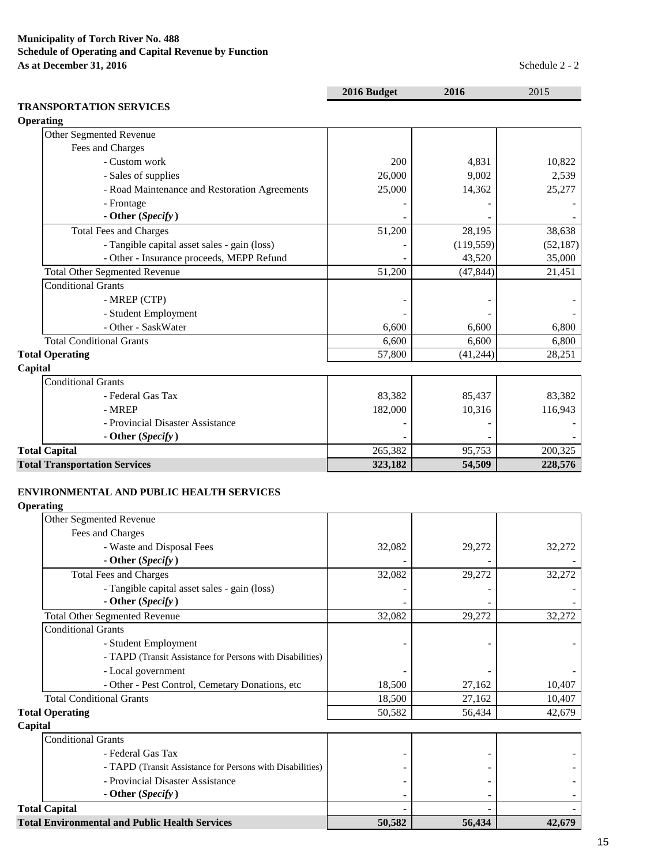|                                               | 2016 Budget | 2016       | 2015      |
|-----------------------------------------------|-------------|------------|-----------|
| <b>TRANSPORTATION SERVICES</b>                |             |            |           |
| <b>Operating</b>                              |             |            |           |
| Other Segmented Revenue                       |             |            |           |
| Fees and Charges                              |             |            |           |
| - Custom work                                 | 200         | 4,831      | 10,822    |
| - Sales of supplies                           | 26,000      | 9,002      | 2,539     |
| - Road Maintenance and Restoration Agreements | 25,000      | 14,362     | 25,277    |
| - Frontage                                    |             |            |           |
| - Other (Specify)                             |             |            |           |
| <b>Total Fees and Charges</b>                 | 51,200      | 28,195     | 38,638    |
| - Tangible capital asset sales - gain (loss)  |             | (119, 559) | (52, 187) |
| - Other - Insurance proceeds, MEPP Refund     |             | 43,520     | 35,000    |
| <b>Total Other Segmented Revenue</b>          | 51,200      | (47, 844)  | 21,451    |
| <b>Conditional Grants</b>                     |             |            |           |
| - MREP (CTP)                                  |             |            |           |
| - Student Employment                          |             |            |           |
| - Other - SaskWater                           | 6,600       | 6,600      | 6,800     |
| <b>Total Conditional Grants</b>               | 6,600       | 6,600      | 6,800     |
| <b>Total Operating</b>                        | 57,800      | (41, 244)  | 28,251    |
| Capital                                       |             |            |           |
| <b>Conditional Grants</b>                     |             |            |           |
| - Federal Gas Tax                             | 83,382      | 85,437     | 83,382    |
| - MREP                                        | 182,000     | 10,316     | 116,943   |
| - Provincial Disaster Assistance              |             |            |           |
| - Other (Specify)                             |             |            |           |
| <b>Total Capital</b>                          | 265,382     | 95,753     | 200,325   |
| <b>Total Transportation Services</b>          | 323,182     | 54,509     | 228,576   |

# **ENVIRONMENTAL AND PUBLIC HEALTH SERVICES**

**Operating**

| <b>Total Environmental and Public Health Services</b>             | 50,582 | 56,434 | 42,679 |
|-------------------------------------------------------------------|--------|--------|--------|
| <b>Total Capital</b>                                              |        |        |        |
| - Other (Specify)                                                 |        |        |        |
| - Provincial Disaster Assistance                                  |        |        |        |
| - TAPD (Transit Assistance for Persons with Disabilities)         |        |        |        |
| - Federal Gas Tax                                                 |        |        |        |
| <b>Conditional Grants</b>                                         |        |        |        |
| Capital                                                           |        |        |        |
| <b>Total Operating</b>                                            | 50,582 | 56,434 | 42,679 |
| <b>Total Conditional Grants</b>                                   | 18,500 | 27,162 | 10,407 |
| - Other - Pest Control, Cemetary Donations, etc                   | 18,500 | 27,162 | 10,407 |
| - Local government                                                |        |        |        |
| - TAPD (Transit Assistance for Persons with Disabilities)         |        |        |        |
| - Student Employment                                              |        |        |        |
| <b>Conditional Grants</b>                                         |        |        |        |
| <b>Total Other Segmented Revenue</b>                              | 32,082 | 29,272 | 32,272 |
| - Tangible capital asset sales - gain (loss)<br>- Other (Specify) |        |        |        |
| <b>Total Fees and Charges</b>                                     | 32,082 | 29,272 | 32,272 |
| - Other (Specify)                                                 |        |        |        |
| Fees and Charges<br>- Waste and Disposal Fees                     | 32,082 | 29,272 | 32,272 |
| Other Segmented Revenue                                           |        |        |        |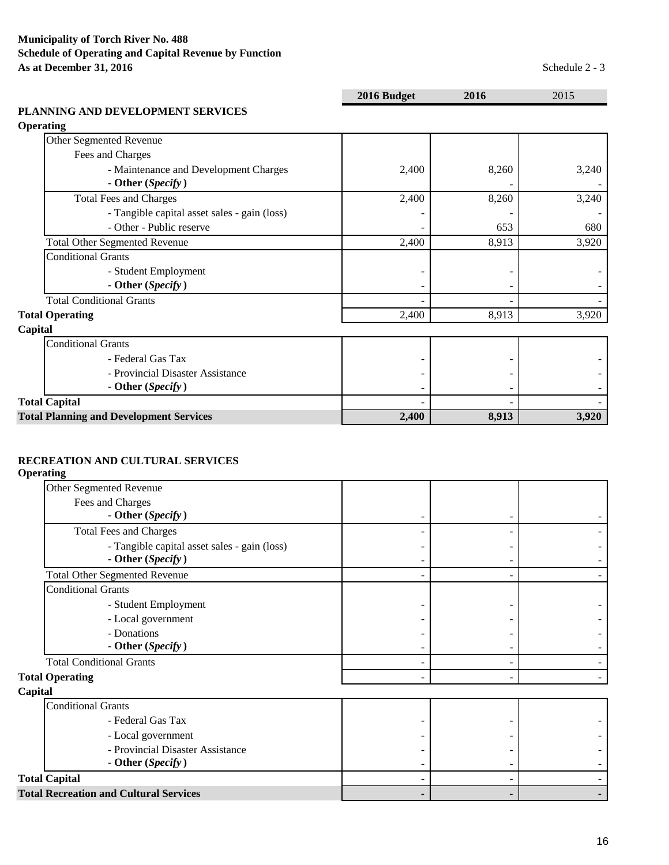|                                                | 2016 Budget | 2016  | 2015  |
|------------------------------------------------|-------------|-------|-------|
| PLANNING AND DEVELOPMENT SERVICES              |             |       |       |
| <b>Operating</b>                               |             |       |       |
| Other Segmented Revenue                        |             |       |       |
| Fees and Charges                               |             |       |       |
| - Maintenance and Development Charges          | 2,400       | 8,260 | 3,240 |
| - Other (Specify)                              |             |       |       |
| <b>Total Fees and Charges</b>                  | 2,400       | 8,260 | 3,240 |
| - Tangible capital asset sales - gain (loss)   |             |       |       |
| - Other - Public reserve                       |             | 653   | 680   |
| <b>Total Other Segmented Revenue</b>           | 2,400       | 8,913 | 3,920 |
| <b>Conditional Grants</b>                      |             |       |       |
| - Student Employment                           |             |       |       |
| - Other (Specify)                              |             |       |       |
| <b>Total Conditional Grants</b>                |             |       |       |
| <b>Total Operating</b>                         | 2,400       | 8,913 | 3,920 |
| Capital                                        |             |       |       |
| <b>Conditional Grants</b>                      |             |       |       |
| - Federal Gas Tax                              |             |       |       |
| - Provincial Disaster Assistance               |             |       |       |
| - Other (Specify)                              |             |       |       |
| <b>Total Capital</b>                           |             |       |       |
| <b>Total Planning and Development Services</b> | 2,400       | 8,913 | 3,920 |

# **RECREATION AND CULTURAL SERVICES**

**Operating**

| Other Segmented Revenue                                           |  |  |
|-------------------------------------------------------------------|--|--|
| Fees and Charges                                                  |  |  |
| - Other (Specify)                                                 |  |  |
| <b>Total Fees and Charges</b>                                     |  |  |
| - Tangible capital asset sales - gain (loss)<br>- Other (Specify) |  |  |
| <b>Total Other Segmented Revenue</b>                              |  |  |
| <b>Conditional Grants</b>                                         |  |  |
| - Student Employment                                              |  |  |
| - Local government                                                |  |  |
| - Donations                                                       |  |  |
| - Other (Specify)                                                 |  |  |
| <b>Total Conditional Grants</b>                                   |  |  |
| <b>Total Operating</b>                                            |  |  |
| Capital                                                           |  |  |
| <b>Conditional Grants</b>                                         |  |  |
| - Federal Gas Tax                                                 |  |  |
| - Local government                                                |  |  |
| - Provincial Disaster Assistance                                  |  |  |
| - Other (Specify)                                                 |  |  |
| <b>Total Capital</b>                                              |  |  |
| <b>Total Recreation and Cultural Services</b>                     |  |  |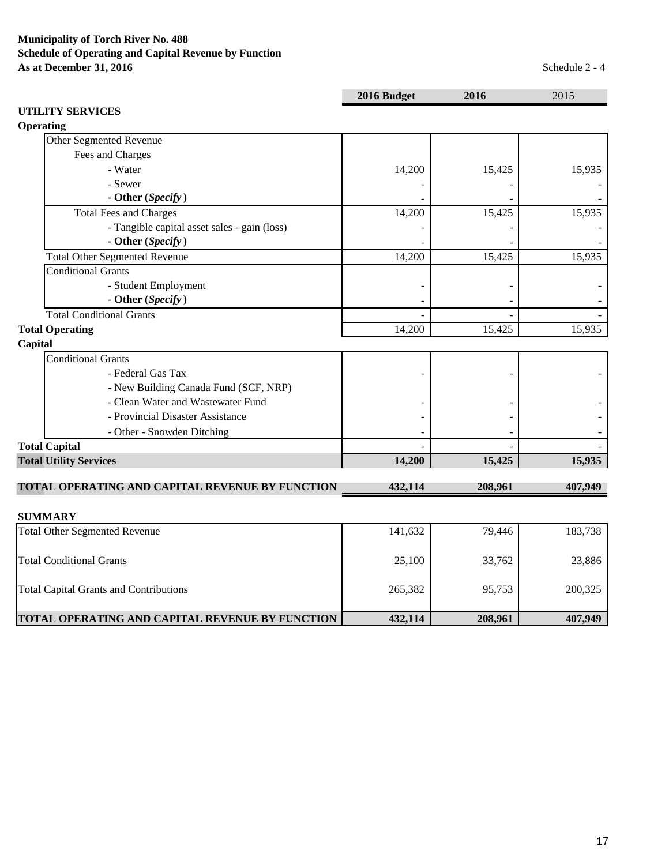|                                                 | 2016 Budget | 2016    | 2015    |
|-------------------------------------------------|-------------|---------|---------|
| <b>UTILITY SERVICES</b><br>Operating            |             |         |         |
| Other Segmented Revenue                         |             |         |         |
| Fees and Charges                                |             |         |         |
| - Water                                         | 14,200      | 15,425  | 15,935  |
| - Sewer                                         |             |         |         |
| - Other (Specify)                               |             |         |         |
| <b>Total Fees and Charges</b>                   | 14,200      | 15,425  | 15,935  |
| - Tangible capital asset sales - gain (loss)    |             |         |         |
| - Other (Specify)                               |             |         |         |
| <b>Total Other Segmented Revenue</b>            | 14,200      | 15,425  | 15,935  |
| <b>Conditional Grants</b>                       |             |         |         |
| - Student Employment                            |             |         |         |
| - Other (Specify)                               |             |         |         |
| <b>Total Conditional Grants</b>                 |             |         |         |
| <b>Total Operating</b>                          | 14,200      | 15,425  | 15,935  |
| Capital                                         |             |         |         |
| <b>Conditional Grants</b>                       |             |         |         |
| - Federal Gas Tax                               |             |         |         |
| - New Building Canada Fund (SCF, NRP)           |             |         |         |
| - Clean Water and Wastewater Fund               |             |         |         |
| - Provincial Disaster Assistance                |             |         |         |
| - Other - Snowden Ditching                      |             |         |         |
| <b>Total Capital</b>                            |             |         |         |
| <b>Total Utility Services</b>                   | 14,200      | 15,425  | 15,935  |
| TOTAL OPERATING AND CAPITAL REVENUE BY FUNCTION | 432,114     | 208,961 | 407,949 |
| <b>SUMMARY</b>                                  |             |         |         |
| <b>Total Other Segmented Revenue</b>            | 141,632     | 79,446  | 183,738 |
| <b>Total Conditional Grants</b>                 | 25,100      | 33,762  | 23,886  |
| <b>Total Capital Grants and Contributions</b>   | 265,382     | 95,753  | 200,325 |
| TOTAL OPERATING AND CAPITAL REVENUE BY FUNCTION | 432,114     | 208,961 | 407,949 |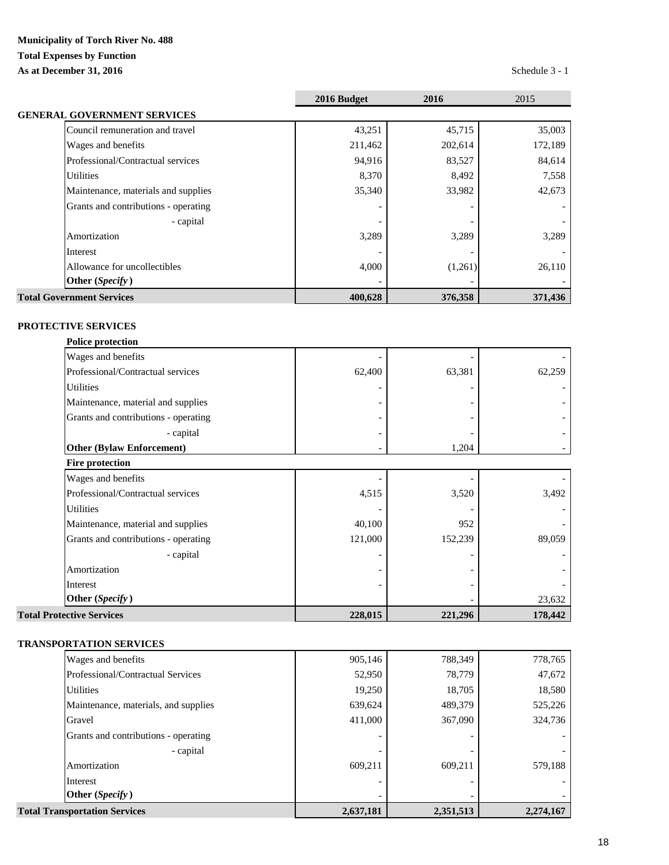# **Municipality of Torch River No. 488 Total Expenses by Function As at December 31, 2016** Schedule 3 - 1

|                                      | 2016 Budget | 2016    | 2015    |
|--------------------------------------|-------------|---------|---------|
| <b>GENERAL GOVERNMENT SERVICES</b>   |             |         |         |
| Council remuneration and travel      | 43,251      | 45,715  | 35,003  |
| Wages and benefits                   | 211,462     | 202,614 | 172,189 |
| Professional/Contractual services    | 94,916      | 83,527  | 84,614  |
| <b>Utilities</b>                     | 8,370       | 8,492   | 7,558   |
| Maintenance, materials and supplies  | 35,340      | 33,982  | 42,673  |
| Grants and contributions - operating |             |         |         |
| - capital                            |             |         |         |
| Amortization                         | 3,289       | 3,289   | 3,289   |
| Interest                             |             |         |         |
| Allowance for uncollectibles         | 4,000       | (1,261) | 26,110  |
| Other (Specify)                      |             |         |         |
| <b>Total Government Services</b>     | 400,628     | 376,358 | 371,436 |

# **PROTECTIVE SERVICES**

| <b>Police protection</b>             |         |         |         |
|--------------------------------------|---------|---------|---------|
| Wages and benefits                   |         |         |         |
| Professional/Contractual services    | 62,400  | 63,381  | 62,259  |
| <b>Utilities</b>                     |         |         |         |
| Maintenance, material and supplies   |         |         |         |
| Grants and contributions - operating |         |         |         |
| - capital                            |         |         |         |
| <b>Other (Bylaw Enforcement)</b>     |         | 1,204   |         |
| <b>Fire protection</b>               |         |         |         |
| Wages and benefits                   |         |         |         |
| Professional/Contractual services    | 4,515   | 3,520   | 3,492   |
| <b>Utilities</b>                     |         |         |         |
| Maintenance, material and supplies   | 40,100  | 952     |         |
| Grants and contributions - operating | 121,000 | 152,239 | 89,059  |
| - capital                            |         |         |         |
| Amortization                         |         |         |         |
| Interest                             |         |         |         |
| Other (Specify)                      |         |         | 23,632  |
| <b>Total Protective Services</b>     | 228,015 | 221,296 | 178,442 |

# **TRANSPORTATION SERVICES**

| <b>Total Transportation Services</b> | 2,637,181 | 2,351,513 | 2,274,167 |
|--------------------------------------|-----------|-----------|-----------|
| Other (Specify)                      |           |           |           |
| Interest                             |           |           |           |
| Amortization                         | 609,211   | 609,211   | 579,188   |
| - capital                            |           |           |           |
| Grants and contributions - operating |           |           |           |
| Gravel                               | 411,000   | 367,090   | 324,736   |
| Maintenance, materials, and supplies | 639,624   | 489,379   | 525,226   |
| <b>Utilities</b>                     | 19,250    | 18,705    | 18,580    |
| Professional/Contractual Services    | 52,950    | 78,779    | 47,672    |
| Wages and benefits                   | 905,146   | 788,349   | 778,765   |
|                                      |           |           |           |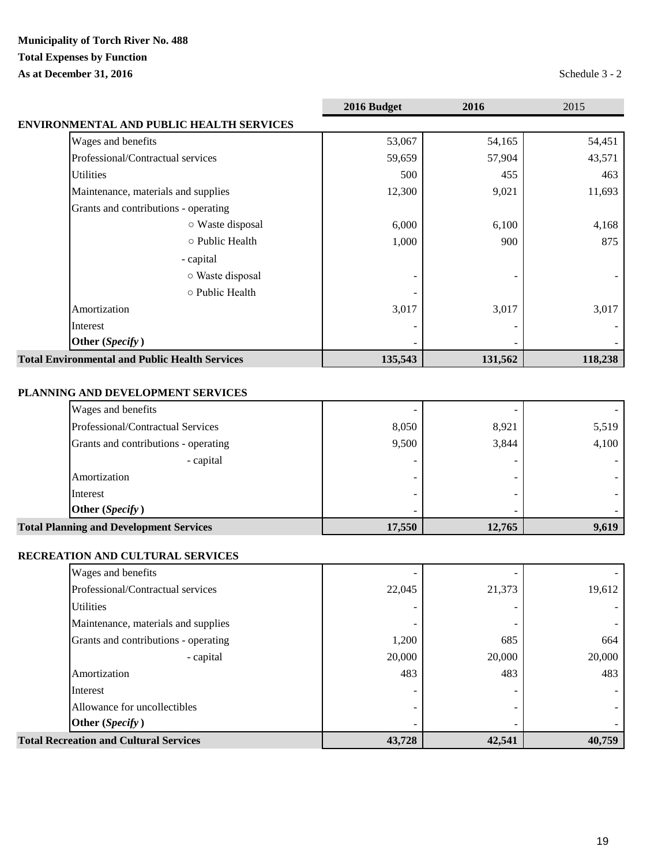# **Municipality of Torch River No. 488 Total Expenses by Function**

**As at December 31, 2016** Schedule 3 - 2

|                                                       | 2016 Budget | 2016    | 2015    |
|-------------------------------------------------------|-------------|---------|---------|
| ENVIRONMENTAL AND PUBLIC HEALTH SERVICES              |             |         |         |
| Wages and benefits                                    | 53,067      | 54,165  | 54,451  |
| Professional/Contractual services                     | 59,659      | 57,904  | 43,571  |
| <b>Utilities</b>                                      | 500         | 455     | 463     |
| Maintenance, materials and supplies                   | 12,300      | 9,021   | 11,693  |
| Grants and contributions - operating                  |             |         |         |
| ○ Waste disposal                                      | 6,000       | 6,100   | 4,168   |
| o Public Health                                       | 1,000       | 900     | 875     |
| - capital                                             |             |         |         |
| ○ Waste disposal                                      |             |         |         |
| o Public Health                                       |             |         |         |
| Amortization                                          | 3,017       | 3,017   | 3,017   |
| Interest                                              |             |         |         |
| Other (Specify)                                       |             |         |         |
| <b>Total Environmental and Public Health Services</b> | 135,543     | 131,562 | 118,238 |

# **PLANNING AND DEVELOPMENT SERVICES**

| 9,500 | 3,844 | 4,100 |
|-------|-------|-------|
| 8,050 | 8,921 | 5,519 |
|       |       |       |
|       |       |       |

# **RECREATION AND CULTURAL SERVICES**

| <b>Total Recreation and Cultural Services</b> | 43,728 | 42,541 | 40,759 |
|-----------------------------------------------|--------|--------|--------|
| Other (Specify)                               |        |        |        |
| Allowance for uncollectibles                  |        |        |        |
| Interest                                      |        |        |        |
| Amortization                                  | 483    | 483    | 483    |
| - capital                                     | 20,000 | 20,000 | 20,000 |
| Grants and contributions - operating          | 1,200  | 685    | 664    |
| Maintenance, materials and supplies           |        |        |        |
| <b>Utilities</b>                              |        |        |        |
| Professional/Contractual services             | 22,045 | 21,373 | 19,612 |
| Wages and benefits                            |        |        |        |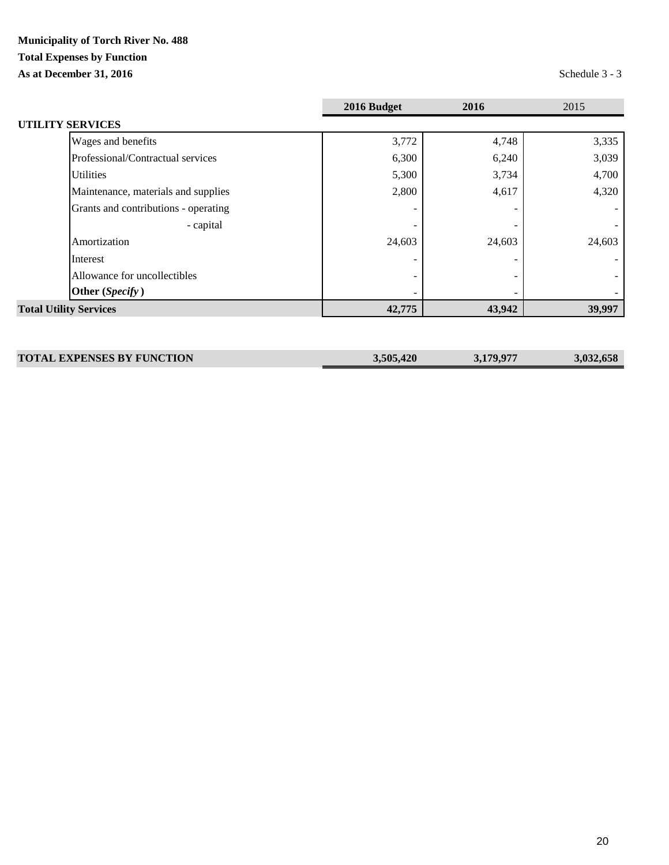# **Municipality of Torch River No. 488 Total Expenses by Function**

**As at December 31, 2016** Schedule 3 - 3

|                                      | 2016 Budget | 2016   | 2015   |
|--------------------------------------|-------------|--------|--------|
| <b>UTILITY SERVICES</b>              |             |        |        |
| Wages and benefits                   | 3,772       | 4,748  | 3,335  |
| Professional/Contractual services    | 6,300       | 6,240  | 3,039  |
| <b>Utilities</b>                     | 5,300       | 3,734  | 4,700  |
| Maintenance, materials and supplies  | 2,800       | 4,617  | 4,320  |
| Grants and contributions - operating |             |        |        |
| - capital                            |             |        |        |
| Amortization                         | 24,603      | 24,603 | 24,603 |
| Interest                             |             |        |        |
| Allowance for uncollectibles         |             |        |        |
| Other (Specify)                      |             |        |        |
| <b>Total Utility Services</b>        | 42,775      | 43,942 | 39,997 |

| <b>TOTAL EXPENSES BY FUNCTION</b> | 3,505,420 | 3,179,977 | 3.032.658 |
|-----------------------------------|-----------|-----------|-----------|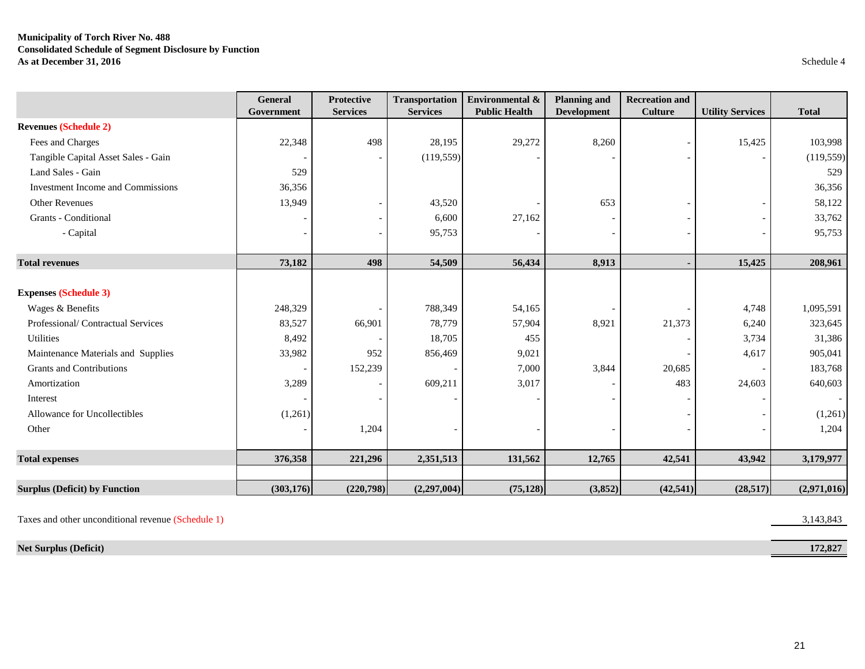# **Municipality of Torch River No. 488 Consolidated Schedule of Segment Disclosure by Function As at December 31, 2016** Schedule 4

|                                      | <b>General</b><br>Government | <b>Protective</b><br><b>Services</b> | <b>Transportation</b><br><b>Services</b> | Environmental &<br><b>Public Health</b> | <b>Planning and</b><br><b>Development</b> | <b>Recreation and</b><br><b>Culture</b> | <b>Utility Services</b> | <b>Total</b> |
|--------------------------------------|------------------------------|--------------------------------------|------------------------------------------|-----------------------------------------|-------------------------------------------|-----------------------------------------|-------------------------|--------------|
| <b>Revenues (Schedule 2)</b>         |                              |                                      |                                          |                                         |                                           |                                         |                         |              |
| Fees and Charges                     | 22,348                       | 498                                  | 28,195                                   | 29,272                                  | 8,260                                     |                                         | 15,425                  | 103,998      |
| Tangible Capital Asset Sales - Gain  |                              |                                      | (119, 559)                               |                                         |                                           |                                         |                         | (119, 559)   |
| Land Sales - Gain                    | 529                          |                                      |                                          |                                         |                                           |                                         |                         | 529          |
| Investment Income and Commissions    | 36,356                       |                                      |                                          |                                         |                                           |                                         |                         | 36,356       |
| <b>Other Revenues</b>                | 13,949                       |                                      | 43,520                                   |                                         | 653                                       |                                         |                         | 58,122       |
| Grants - Conditional                 |                              |                                      | 6,600                                    | 27,162                                  |                                           |                                         |                         | 33,762       |
| - Capital                            |                              |                                      | 95,753                                   |                                         |                                           |                                         |                         | 95,753       |
|                                      |                              |                                      |                                          |                                         |                                           |                                         |                         |              |
| <b>Total revenues</b>                | 73,182                       | 498                                  | 54,509                                   | 56,434                                  | 8,913                                     |                                         | 15,425                  | 208,961      |
|                                      |                              |                                      |                                          |                                         |                                           |                                         |                         |              |
| <b>Expenses (Schedule 3)</b>         |                              |                                      |                                          |                                         |                                           |                                         |                         |              |
| Wages & Benefits                     | 248,329                      |                                      | 788,349                                  | 54,165                                  |                                           |                                         | 4,748                   | 1,095,591    |
| Professional/Contractual Services    | 83,527                       | 66,901                               | 78,779                                   | 57,904                                  | 8,921                                     | 21,373                                  | 6,240                   | 323,645      |
| <b>Utilities</b>                     | 8,492                        |                                      | 18,705                                   | 455                                     |                                           |                                         | 3,734                   | 31,386       |
| Maintenance Materials and Supplies   | 33,982                       | 952                                  | 856,469                                  | 9,021                                   |                                           |                                         | 4,617                   | 905,041      |
| <b>Grants and Contributions</b>      |                              | 152,239                              |                                          | 7,000                                   | 3,844                                     | 20,685                                  |                         | 183,768      |
| Amortization                         | 3,289                        |                                      | 609,211                                  | 3,017                                   |                                           | 483                                     | 24,603                  | 640,603      |
| Interest                             |                              |                                      |                                          |                                         |                                           |                                         |                         |              |
| Allowance for Uncollectibles         | (1,261)                      |                                      |                                          |                                         |                                           |                                         |                         | (1,261)      |
| Other                                |                              | 1,204                                |                                          |                                         |                                           |                                         |                         | 1,204        |
| <b>Total expenses</b>                | 376,358                      | 221,296                              | 2,351,513                                | 131,562                                 | 12,765                                    | 42,541                                  | 43,942                  | 3,179,977    |
|                                      |                              |                                      |                                          |                                         |                                           |                                         |                         |              |
| <b>Surplus (Deficit) by Function</b> | (303, 176)                   | (220, 798)                           | (2,297,004)                              | (75, 128)                               | (3,852)                                   | (42, 541)                               | (28, 517)               | (2,971,016)  |

Taxes and other unconditional revenue (Schedule 1) 3,143,843

**Net Surplus (Deficit)** 172,827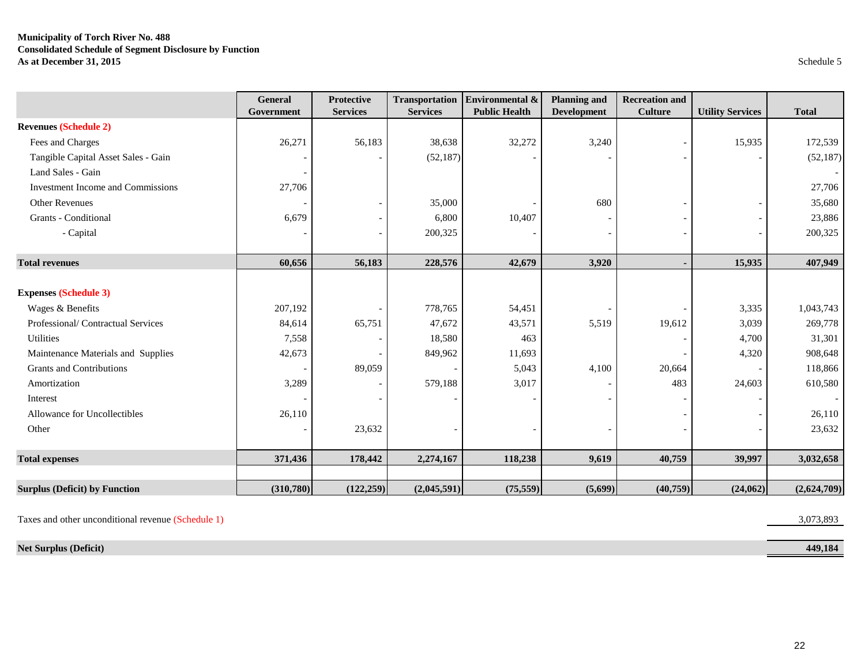# **Municipality of Torch River No. 488 Consolidated Schedule of Segment Disclosure by Function As at December 31, 2015** Schedule 5

|                                          | <b>General</b><br>Government | <b>Protective</b><br><b>Services</b> | <b>Transportation</b><br><b>Services</b> | Environmental &<br><b>Public Health</b> | <b>Planning and</b><br><b>Development</b> | <b>Recreation and</b><br><b>Culture</b> | <b>Utility Services</b> | <b>Total</b> |
|------------------------------------------|------------------------------|--------------------------------------|------------------------------------------|-----------------------------------------|-------------------------------------------|-----------------------------------------|-------------------------|--------------|
| <b>Revenues (Schedule 2)</b>             |                              |                                      |                                          |                                         |                                           |                                         |                         |              |
| Fees and Charges                         | 26,271                       | 56,183                               | 38,638                                   | 32,272                                  | 3,240                                     |                                         | 15,935                  | 172,539      |
| Tangible Capital Asset Sales - Gain      |                              |                                      | (52, 187)                                |                                         |                                           |                                         |                         | (52, 187)    |
| Land Sales - Gain                        |                              |                                      |                                          |                                         |                                           |                                         |                         |              |
| <b>Investment Income and Commissions</b> | 27,706                       |                                      |                                          |                                         |                                           |                                         |                         | 27,706       |
| <b>Other Revenues</b>                    |                              |                                      | 35,000                                   |                                         | 680                                       |                                         |                         | 35,680       |
| Grants - Conditional                     | 6,679                        |                                      | 6,800                                    | 10,407                                  |                                           |                                         |                         | 23,886       |
| - Capital                                |                              |                                      | 200,325                                  |                                         |                                           |                                         |                         | 200,325      |
| <b>Total revenues</b>                    | 60,656                       | 56,183                               | 228,576                                  | 42,679                                  | 3,920                                     |                                         | 15,935                  | 407,949      |
|                                          |                              |                                      |                                          |                                         |                                           |                                         |                         |              |
| <b>Expenses (Schedule 3)</b>             |                              |                                      |                                          |                                         |                                           |                                         |                         |              |
| Wages & Benefits                         | 207,192                      |                                      | 778,765                                  | 54,451                                  |                                           |                                         | 3,335                   | 1,043,743    |
| Professional/Contractual Services        | 84,614                       | 65,751                               | 47,672                                   | 43,571                                  | 5,519                                     | 19,612                                  | 3,039                   | 269,778      |
| <b>Utilities</b>                         | 7,558                        |                                      | 18,580                                   | 463                                     |                                           |                                         | 4,700                   | 31,301       |
| Maintenance Materials and Supplies       | 42,673                       |                                      | 849,962                                  | 11,693                                  |                                           |                                         | 4,320                   | 908,648      |
| <b>Grants and Contributions</b>          |                              | 89,059                               |                                          | 5,043                                   | 4,100                                     | 20,664                                  |                         | 118,866      |
| Amortization                             | 3,289                        |                                      | 579,188                                  | 3,017                                   |                                           | 483                                     | 24,603                  | 610,580      |
| Interest                                 |                              |                                      |                                          |                                         |                                           |                                         |                         |              |
| Allowance for Uncollectibles             | 26,110                       |                                      |                                          |                                         |                                           |                                         |                         | 26,110       |
| Other                                    |                              | 23,632                               |                                          |                                         |                                           |                                         |                         | 23,632       |
| <b>Total expenses</b>                    | 371,436                      | 178,442                              | 2,274,167                                | 118,238                                 | 9,619                                     | 40,759                                  | 39,997                  | 3,032,658    |
|                                          |                              |                                      |                                          |                                         |                                           |                                         |                         |              |
| <b>Surplus (Deficit) by Function</b>     | (310,780)                    | (122, 259)                           | (2,045,591)                              | (75, 559)                               | (5,699)                                   | (40,759)                                | (24,062)                | (2,624,709)  |

Taxes and other unconditional revenue (Schedule 1) 3,073,893

**Net Surplus (Deficit) 449,184**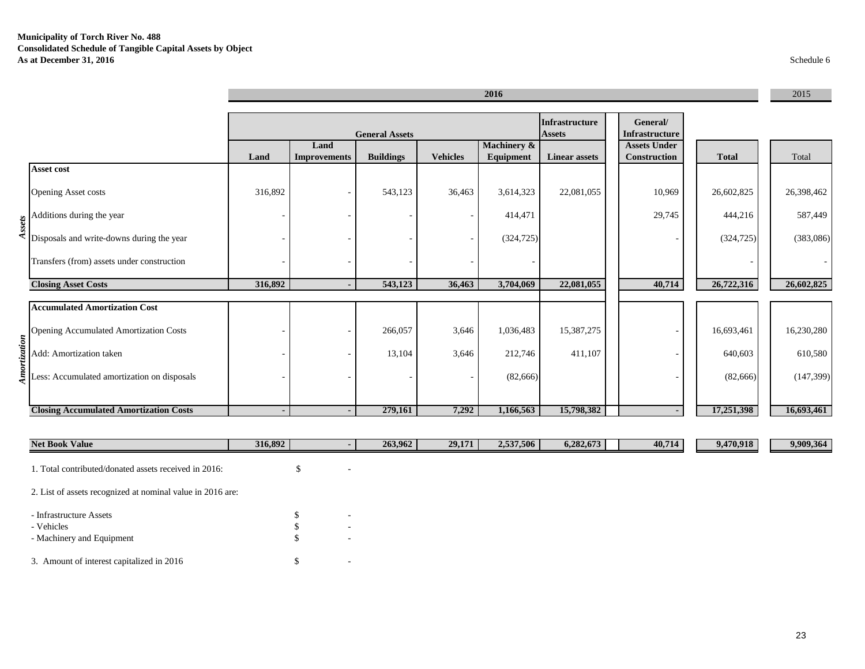|              |                                                                          |               |                                                                                               |                  |                 | 2016                                |                      |                                            |              | 2015       |
|--------------|--------------------------------------------------------------------------|---------------|-----------------------------------------------------------------------------------------------|------------------|-----------------|-------------------------------------|----------------------|--------------------------------------------|--------------|------------|
|              |                                                                          |               | Infrastructure<br>General/<br><b>General Assets</b><br><b>Assets</b><br><b>Infrastructure</b> |                  |                 |                                     |                      |                                            |              |            |
|              |                                                                          | Land          | Land<br><b>Improvements</b>                                                                   | <b>Buildings</b> | <b>Vehicles</b> | <b>Machinery &amp;</b><br>Equipment | <b>Linear assets</b> | <b>Assets Under</b><br><b>Construction</b> | <b>Total</b> | Total      |
|              | Asset cost                                                               |               |                                                                                               |                  |                 |                                     |                      |                                            |              |            |
|              | <b>Opening Asset costs</b>                                               | 316,892       |                                                                                               | 543,123          | 36,463          | 3,614,323                           | 22,081,055           | 10,969                                     | 26,602,825   | 26,398,462 |
|              | Additions during the year                                                |               |                                                                                               |                  |                 | 414,471                             |                      | 29,745                                     | 444,216      | 587,449    |
|              | $\frac{2}{3}$<br>$\frac{1}{3}$ Disposals and write-downs during the year |               |                                                                                               |                  |                 | (324, 725)                          |                      |                                            | (324, 725)   | (383,086)  |
|              | Transfers (from) assets under construction                               |               |                                                                                               |                  |                 |                                     |                      |                                            |              |            |
|              | <b>Closing Asset Costs</b>                                               | 316,892       | ٠                                                                                             | 543,123          | 36,463          | 3,704,069                           | 22,081,055           | 40,714                                     | 26,722,316   | 26,602,825 |
|              | <b>Accumulated Amortization Cost</b>                                     |               |                                                                                               |                  |                 |                                     |                      |                                            |              |            |
|              | <b>Opening Accumulated Amortization Costs</b>                            |               |                                                                                               | 266,057          | 3,646           | 1,036,483                           | 15,387,275           |                                            | 16,693,461   | 16,230,280 |
| Amortization | Add: Amortization taken                                                  |               |                                                                                               | 13,104           | 3,646           | 212,746                             | 411,107              |                                            | 640,603      | 610,580    |
|              | Less: Accumulated amortization on disposals                              |               |                                                                                               |                  |                 | (82, 666)                           |                      |                                            | (82, 666)    | (147, 399) |
|              | <b>Closing Accumulated Amortization Costs</b>                            |               | $\blacksquare$                                                                                | 279,161          | 7,292           | 1,166,563                           | 15,798,382           |                                            | 17,251,398   | 16,693,461 |
|              | $N0 + D0$ olz $0$ Volue                                                  | 216.802 $\pm$ |                                                                                               | 262062           | 20171           | 2.527506                            | 6,982,672            | 40.714                                     | 0.470.018    | 0.000.364  |

| <b>Net book value</b>                                      | 310,092 |   | 203,904 | 29, 111 | 2,331,300 | 0,202,073 | 40,714 | 9,470,918 | 9,909,904 |
|------------------------------------------------------------|---------|---|---------|---------|-----------|-----------|--------|-----------|-----------|
| 1. Total contributed/donated assets received in 2016:      |         |   |         |         |           |           |        |           |           |
| 2. List of assets recognized at nominal value in 2016 are: |         |   |         |         |           |           |        |           |           |
| - Infrastructure Assets                                    |         | - |         |         |           |           |        |           |           |
| - Vehicles                                                 |         |   |         |         |           |           |        |           |           |
| - Machinery and Equipment                                  |         | - |         |         |           |           |        |           |           |
| 3. Amount of interest capitalized in 2016                  |         |   |         |         |           |           |        |           |           |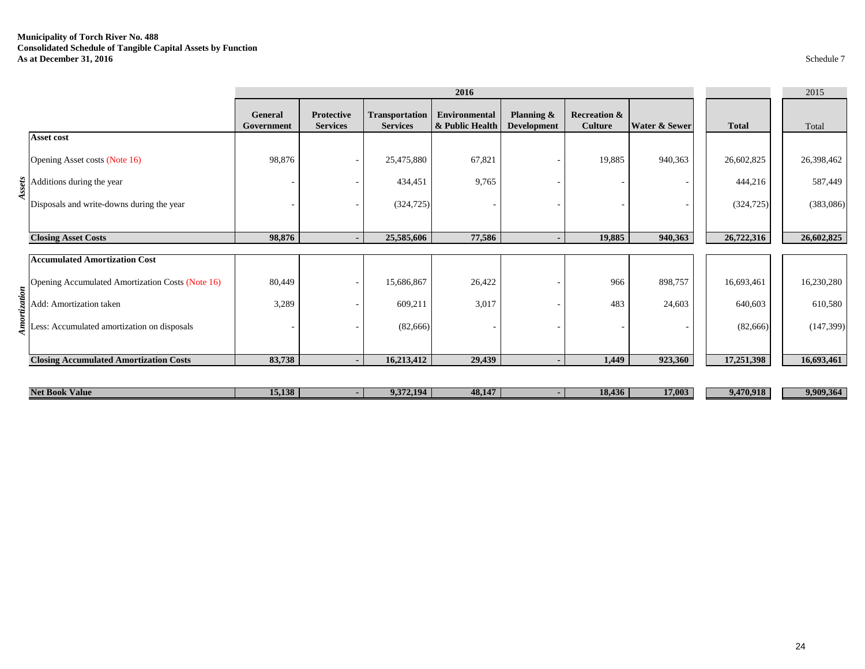# **Municipality of Torch River No. 488 Consolidated Schedule of Tangible Capital Assets by Function As at December 31, 2016** Schedule 7

|     |                                                  |                       |                                      |                                          | 2016                                    |                                  |                                           |                          |              | 2015       |
|-----|--------------------------------------------------|-----------------------|--------------------------------------|------------------------------------------|-----------------------------------------|----------------------------------|-------------------------------------------|--------------------------|--------------|------------|
|     |                                                  | General<br>Government | <b>Protective</b><br><b>Services</b> | <b>Transportation</b><br><b>Services</b> | <b>Environmental</b><br>& Public Health | Planning &<br><b>Development</b> | <b>Recreation &amp;</b><br><b>Culture</b> | Water & Sewer            | <b>Total</b> | Total      |
|     | Asset cost                                       |                       |                                      |                                          |                                         |                                  |                                           |                          |              |            |
|     | Opening Asset costs (Note 16)                    | 98,876                | $\overline{\phantom{a}}$             | 25,475,880                               | 67,821                                  |                                  | 19,885                                    | 940,363                  | 26,602,825   | 26,398,462 |
|     | $\frac{12}{3}$ Additions during the year         |                       |                                      | 434,451                                  | 9,765                                   |                                  |                                           | $\overline{\phantom{a}}$ | 444,216      | 587,449    |
|     | Disposals and write-downs during the year        |                       |                                      | (324, 725)                               |                                         |                                  |                                           | $\overline{\phantom{a}}$ | (324, 725)   | (383,086)  |
|     |                                                  |                       |                                      |                                          |                                         |                                  |                                           |                          |              |            |
|     | <b>Closing Asset Costs</b>                       | 98,876                | $\overline{\phantom{a}}$             | 25,585,606                               | 77,586                                  |                                  | 19,885                                    | 940,363                  | 26,722,316   | 26,602,825 |
|     | <b>Accumulated Amortization Cost</b>             |                       |                                      |                                          |                                         |                                  |                                           |                          |              |            |
| noi | Opening Accumulated Amortization Costs (Note 16) | 80,449                | $\sim$                               | 15,686,867                               | 26,422                                  |                                  | 966                                       | 898,757                  | 16,693,461   | 16,230,280 |
|     | Add: Amortization taken                          | 3,289                 |                                      | 609,211                                  | 3,017                                   |                                  | 483                                       | 24,603                   | 640,603      | 610,580    |
|     | Less: Accumulated amortization on disposals      |                       |                                      | (82, 666)                                |                                         |                                  |                                           |                          | (82, 666)    | (147, 399) |
|     | <b>Closing Accumulated Amortization Costs</b>    | 83,738                |                                      | 16,213,412                               | 29,439                                  |                                  | 1,449                                     | 923,360                  | 17,251,398   | 16,693,461 |
|     | <b>Net Book Value</b>                            | 15,138                |                                      | 9,372,194                                | 48,147                                  |                                  | 18,436                                    | 17,003                   | 9,470,918    | 9,909,364  |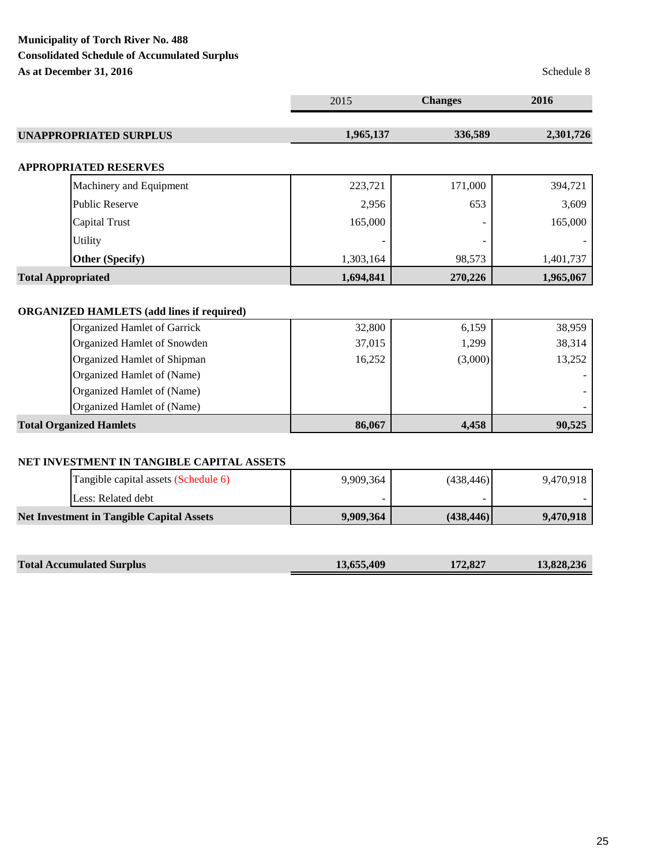# **Municipality of Torch River No. 488 Consolidated Schedule of Accumulated Surplus As at December 31, 2016** Schedule 8

|                                                  | 2015      | <b>Changes</b> | 2016      |
|--------------------------------------------------|-----------|----------------|-----------|
| <b>UNAPPROPRIATED SURPLUS</b>                    | 1,965,137 | 336,589        | 2,301,726 |
| <b>APPROPRIATED RESERVES</b>                     |           |                |           |
| Machinery and Equipment                          | 223,721   | 171,000        | 394,721   |
| <b>Public Reserve</b>                            | 2,956     | 653            | 3,609     |
| Capital Trust                                    | 165,000   |                | 165,000   |
| <b>Utility</b>                                   |           |                |           |
| <b>Other (Specify)</b>                           | 1,303,164 | 98,573         | 1,401,737 |
| <b>Total Appropriated</b>                        | 1,694,841 | 270,226        | 1,965,067 |
| <b>ORGANIZED HAMLETS (add lines if required)</b> |           |                |           |
| <b>Organized Hamlet of Garrick</b>               | 32,800    | 6,159          | 38,959    |
| Organized Hamlet of Snowden                      | 37,015    | 1,299          | 38,314    |
| Organized Hamlet of Shipman                      | 16,252    | (3,000)        | 13,252    |
| Organized Hamlet of (Name)                       |           |                |           |
| Organized Hamlet of (Name)                       |           |                |           |
| Organized Hamlet of (Name)                       |           |                |           |
| <b>Total Organized Hamlets</b>                   | 86,067    | 4,458          | 90,525    |
| NET INVESTMENT IN TANGIBLE CAPITAL ASSETS        |           |                |           |
| Tangible capital assets (Schedule 6)             | 9,909,364 | (438, 446)     | 9,470,918 |
| Less: Related debt                               |           |                |           |

| <b>Net Investment in Tangible Capital Assets</b> | 9,909,364 | (438, 446) | 9.470.918 |
|--------------------------------------------------|-----------|------------|-----------|
|                                                  |           |            |           |

| <b>Total Accumulated Surplus</b> | 13,655,409 | 172,827 | 13,828,236 |
|----------------------------------|------------|---------|------------|
|                                  |            |         |            |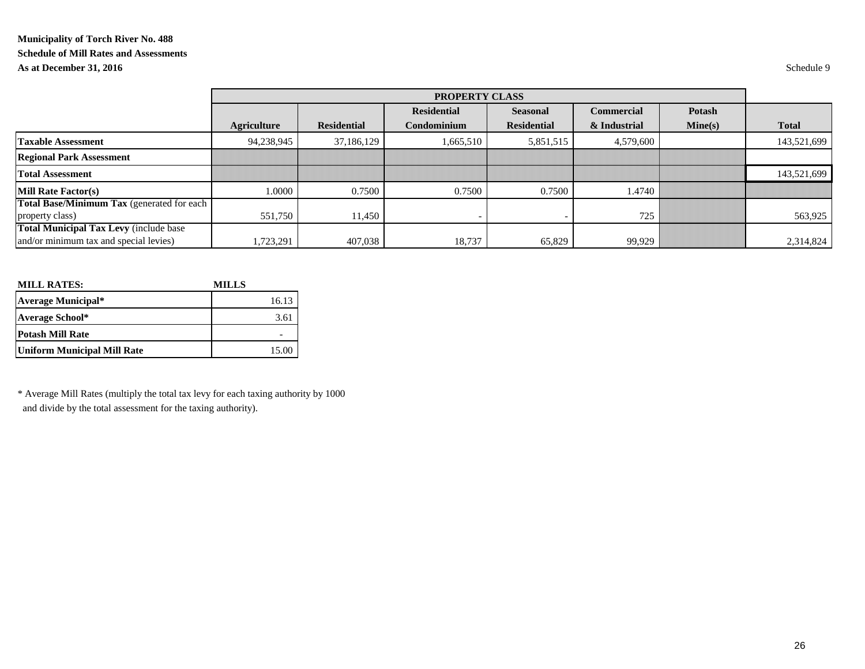# **Municipality of Torch River No. 488 Schedule of Mill Rates and Assessments As at December 31, 2016** Schedule 9

|                                                   |                    | PROPERTY CLASS     |                          |                    |                   |               |              |  |  |  |
|---------------------------------------------------|--------------------|--------------------|--------------------------|--------------------|-------------------|---------------|--------------|--|--|--|
|                                                   |                    |                    | <b>Residential</b>       | <b>Seasonal</b>    | <b>Commercial</b> | <b>Potash</b> |              |  |  |  |
|                                                   | <b>Agriculture</b> | <b>Residential</b> | Condominium              | <b>Residential</b> | & Industrial      | Mine(s)       | <b>Total</b> |  |  |  |
| <b>Taxable Assessment</b>                         | 94,238,945         | 37,186,129         | 1,665,510                | 5,851,515          | 4,579,600         |               | 143,521,699  |  |  |  |
| <b>Regional Park Assessment</b>                   |                    |                    |                          |                    |                   |               |              |  |  |  |
| <b>Total Assessment</b>                           |                    |                    |                          |                    |                   |               | 143,521,699  |  |  |  |
| <b>Mill Rate Factor(s)</b>                        | 1.0000             | 0.7500             | 0.7500                   | 0.7500             | 1.4740            |               |              |  |  |  |
| <b>Total Base/Minimum Tax</b> (generated for each |                    |                    |                          |                    |                   |               |              |  |  |  |
| property class)                                   | 551,750            | 11,450             | $\overline{\phantom{a}}$ |                    | 725               |               | 563,925      |  |  |  |
| <b>Total Municipal Tax Levy (include base</b>     |                    |                    |                          |                    |                   |               |              |  |  |  |
| and/or minimum tax and special levies)            | 1,723,291          | 407,038            | 18,737                   | 65,829             | 99,929            |               | 2,314,824    |  |  |  |

| <b>MILL RATES:</b>                 | <b>MILLS</b> |
|------------------------------------|--------------|
| Average Municipal*                 | 16.13        |
| Average School*                    | 3.61         |
| <b>Potash Mill Rate</b>            |              |
| <b>Uniform Municipal Mill Rate</b> | 15.00        |

\* Average Mill Rates (multiply the total tax levy for each taxing authority by 1000 and divide by the total assessment for the taxing authority).